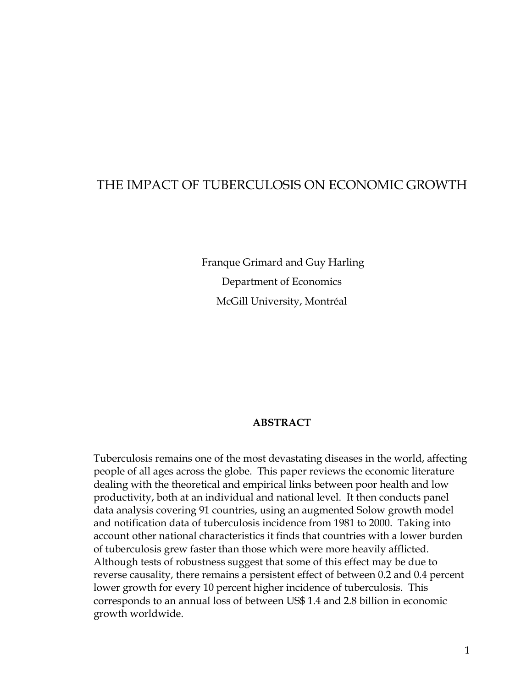# THE IMPACT OF TUBERCULOSIS ON ECONOMIC GROWTH

 Franque Grimard and Guy Harling Department of Economics McGill University, Montréal

### **ABSTRACT**

Tuberculosis remains one of the most devastating diseases in the world, affecting people of all ages across the globe. This paper reviews the economic literature dealing with the theoretical and empirical links between poor health and low productivity, both at an individual and national level. It then conducts panel data analysis covering 91 countries, using an augmented Solow growth model and notification data of tuberculosis incidence from 1981 to 2000. Taking into account other national characteristics it finds that countries with a lower burden of tuberculosis grew faster than those which were more heavily afflicted. Although tests of robustness suggest that some of this effect may be due to reverse causality, there remains a persistent effect of between 0.2 and 0.4 percent lower growth for every 10 percent higher incidence of tuberculosis. This corresponds to an annual loss of between US\$ 1.4 and 2.8 billion in economic growth worldwide.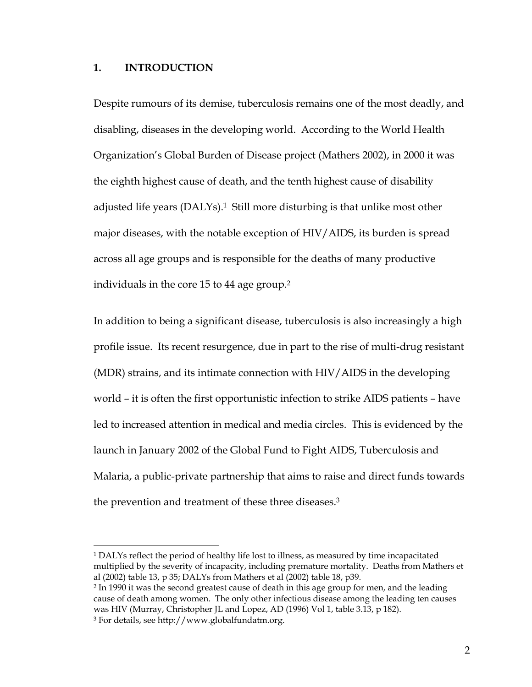### **1. INTRODUCTION**

Despite rumours of its demise, tuberculosis remains one of the most deadly, and disabling, diseases in the developing world. According to the World Health Organization's Global Burden of Disease project (Mathers 2002), in 2000 it was the eighth highest cause of death, and the tenth highest cause of disability adjusted life years (DALYs).<sup>1</sup> Still more disturbing is that unlike most other major diseases, with the notable exception of HIV/AIDS, its burden is spread across all age groups and is responsible for the deaths of many productive individuals in the core 15 to 44 age group.[2](#page-1-1) 

In addition to being a significant disease, tuberculosis is also increasingly a high profile issue. Its recent resurgence, due in part to the rise of multi-drug resistant (MDR) strains, and its intimate connection with HIV/AIDS in the developing world – it is often the first opportunistic infection to strike AIDS patients – have led to increased attention in medical and media circles. This is evidenced by the launch in January 2002 of the Global Fund to Fight AIDS, Tuberculosis and Malaria, a public-private partnership that aims to raise and direct funds towards the prevention and treatment of these three diseases.[3](#page-1-2)

<span id="page-1-0"></span><sup>&</sup>lt;sup>1</sup> DALYs reflect the period of healthy life lost to illness, as measured by time incapacitated multiplied by the severity of incapacity, including premature mortality. Deaths from Mathers et al (2002) table 13, p 35; DALYs from Mathers et al (2002) table 18, p39.<br><sup>2</sup> In 1990 it was the second greatest cause of death in this age group for men, and the leading

<span id="page-1-1"></span>cause of death among women. The only other infectious disease among the leading ten causes was HIV (Murray, Christopher JL and Lopez, AD (1996) Vol 1, table 3.13, p 182).

<span id="page-1-2"></span><sup>3</sup> For details, see http://www.globalfundatm.org.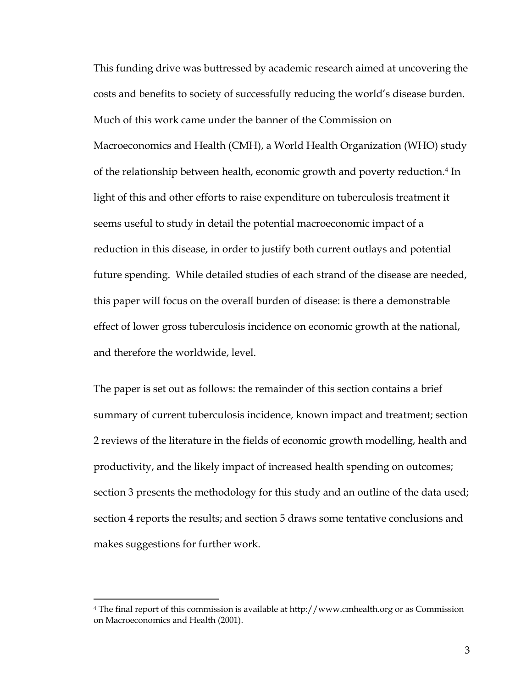This funding drive was buttressed by academic research aimed at uncovering the costs and benefits to society of successfully reducing the world's disease burden. Much of this work came under the banner of the Commission on Macroeconomics and Health (CMH), a World Health Organization (WHO) study of the relationship between health, economic growth and poverty reduction.[4 I](#page-2-0)n light of this and other efforts to raise expenditure on tuberculosis treatment it seems useful to study in detail the potential macroeconomic impact of a reduction in this disease, in order to justify both current outlays and potential future spending. While detailed studies of each strand of the disease are needed, this paper will focus on the overall burden of disease: is there a demonstrable effect of lower gross tuberculosis incidence on economic growth at the national, and therefore the worldwide, level.

The paper is set out as follows: the remainder of this section contains a brief summary of current tuberculosis incidence, known impact and treatment; section 2 reviews of the literature in the fields of economic growth modelling, health and productivity, and the likely impact of increased health spending on outcomes; section 3 presents the methodology for this study and an outline of the data used; section 4 reports the results; and section 5 draws some tentative conclusions and makes suggestions for further work.

<span id="page-2-0"></span><sup>4</sup> The final report of this commission is available at http://www.cmhealth.org or as Commission on Macroeconomics and Health (2001).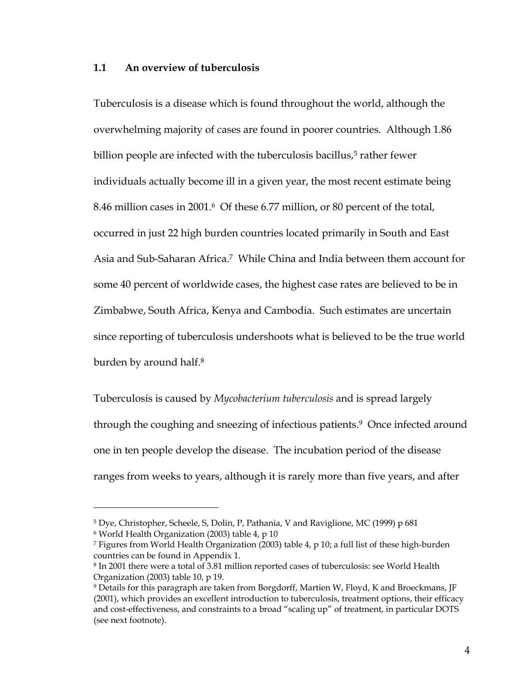#### **1.1 An overview of tuberculosis**

Tuberculosis is a disease which is found throughout the world, although the overwhelming majority of cases are found in poorer countries. Although 1.86 billion people are infected with the tuberculosis bacillus,<sup>5</sup> rather fewer individuals actually become ill in a given year, the most recent estimate being 8.46 million cases in 2001.[6](#page-3-1) Of these 6.77 million, or 80 percent of the total, occurred in just 22 high burden countries located primarily in South and East Asia and Sub-Saharan Africa[.7](#page-3-2) While China and India between them account for some 40 percent of worldwide cases, the highest case rates are believed to be in Zimbabwe, South Africa, Kenya and Cambodia. Such estimates are uncertain since reporting of tuberculosis undershoots what is believed to be the true world burden by around half[.8](#page-3-3) 

Tuberculosis is caused by *Mycobacterium tuberculosis* and is spread largely through the coughing and sneezing of infectious patients[.9](#page-3-4) Once infected around one in ten people develop the disease. The incubation period of the disease ranges from weeks to years, although it is rarely more than five years, and after

<span id="page-3-0"></span><sup>5</sup> Dye, Christopher, Scheele, S, Dolin, P, Pathania, V and Raviglione, MC (1999) p 681

<span id="page-3-1"></span><sup>6</sup> World Health Organization (2003) table 4, p 10

<span id="page-3-2"></span><sup>7</sup> Figures from World Health Organization (2003) table 4, p 10; a full list of these high-burden countries can be found in Appendix 1.

<span id="page-3-3"></span><sup>8</sup> In 2001 there were a total of 3.81 million reported cases of tuberculosis: see World Health Organization (2003) table 10, p 19.<br><sup>9</sup> Details for this paragraph are taken from Borgdorff, Martien W, Floyd, K and Broeckmans, JF

<span id="page-3-4"></span><sup>(2001),</sup> which provides an excellent introduction to tuberculosis, treatment options, their efficacy and cost-effectiveness, and constraints to a broad "scaling up" of treatment, in particular DOTS (see next footnote).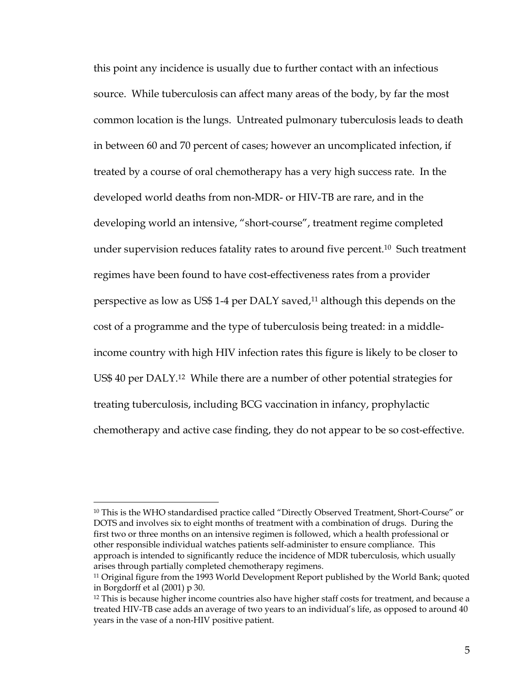this point any incidence is usually due to further contact with an infectious source. While tuberculosis can affect many areas of the body, by far the most common location is the lungs. Untreated pulmonary tuberculosis leads to death in between 60 and 70 percent of cases; however an uncomplicated infection, if treated by a course of oral chemotherapy has a very high success rate. In the developed world deaths from non-MDR- or HIV-TB are rare, and in the developing world an intensive, "short-course", treatment regime completed under supervision reduces fatality rates to around five percent.[10](#page-4-0) Such treatment regimes have been found to have cost-effectiveness rates from a provider perspective as low as US\$ 1-4 per DALY saved,<sup>11</sup> although this depends on the cost of a programme and the type of tuberculosis being treated: in a middleincome country with high HIV infection rates this figure is likely to be closer to US\$ 40 per DALY.[12](#page-4-2) While there are a number of other potential strategies for treating tuberculosis, including BCG vaccination in infancy, prophylactic chemotherapy and active case finding, they do not appear to be so cost-effective.

<span id="page-4-0"></span><sup>&</sup>lt;sup>10</sup> This is the WHO standardised practice called "Directly Observed Treatment, Short-Course" or DOTS and involves six to eight months of treatment with a combination of drugs. During the first two or three months on an intensive regimen is followed, which a health professional or other responsible individual watches patients self-administer to ensure compliance. This approach is intended to significantly reduce the incidence of MDR tuberculosis, which usually arises through partially completed chemotherapy regimens.

<span id="page-4-1"></span> $11$  Original figure from the 1993 World Development Report published by the World Bank; quoted in Borgdorff et al (2001) p 30.

<span id="page-4-2"></span> $12$  This is because higher income countries also have higher staff costs for treatment, and because a treated HIV-TB case adds an average of two years to an individual's life, as opposed to around 40 years in the vase of a non-HIV positive patient.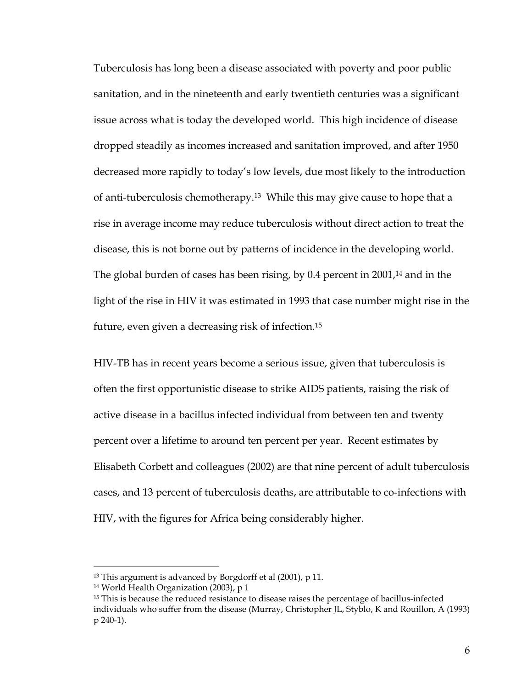Tuberculosis has long been a disease associated with poverty and poor public sanitation, and in the nineteenth and early twentieth centuries was a significant issue across what is today the developed world. This high incidence of disease dropped steadily as incomes increased and sanitation improved, and after 1950 decreased more rapidly to today's low levels, due most likely to the introduction of anti-tuberculosis chemotherapy.[13](#page-5-0) While this may give cause to hope that a rise in average income may reduce tuberculosis without direct action to treat the disease, this is not borne out by patterns of incidence in the developing world. The global burden of cases has been rising, by 0.4 percent in 2001,<sup>14</sup> and in the light of the rise in HIV it was estimated in 1993 that case number might rise in the future, even given a decreasing risk of infection.[15](#page-5-2)

HIV-TB has in recent years become a serious issue, given that tuberculosis is often the first opportunistic disease to strike AIDS patients, raising the risk of active disease in a bacillus infected individual from between ten and twenty percent over a lifetime to around ten percent per year. Recent estimates by Elisabeth Corbett and colleagues (2002) are that nine percent of adult tuberculosis cases, and 13 percent of tuberculosis deaths, are attributable to co-infections with HIV, with the figures for Africa being considerably higher.

<span id="page-5-0"></span><sup>&</sup>lt;sup>13</sup> This argument is advanced by Borgdorff et al (2001), p 11.

<span id="page-5-1"></span><sup>14</sup> World Health Organization (2003), p 1

<span id="page-5-2"></span><sup>&</sup>lt;sup>15</sup> This is because the reduced resistance to disease raises the percentage of bacillus-infected individuals who suffer from the disease (Murray, Christopher JL, Styblo, K and Rouillon, A (1993) p 240-1).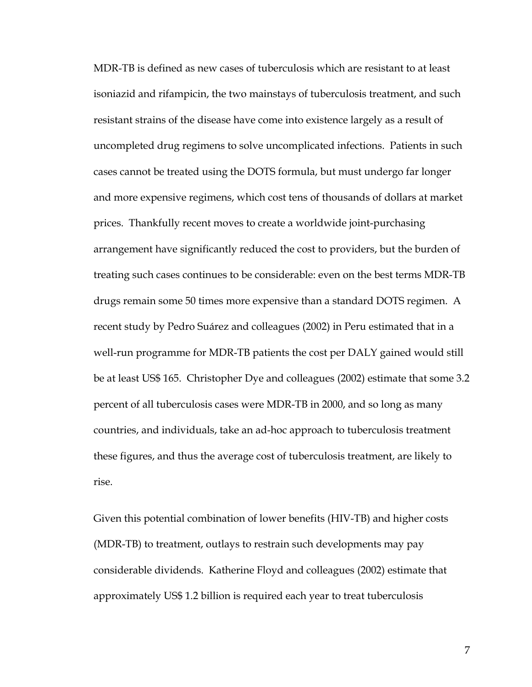MDR-TB is defined as new cases of tuberculosis which are resistant to at least isoniazid and rifampicin, the two mainstays of tuberculosis treatment, and such resistant strains of the disease have come into existence largely as a result of uncompleted drug regimens to solve uncomplicated infections. Patients in such cases cannot be treated using the DOTS formula, but must undergo far longer and more expensive regimens, which cost tens of thousands of dollars at market prices. Thankfully recent moves to create a worldwide joint-purchasing arrangement have significantly reduced the cost to providers, but the burden of treating such cases continues to be considerable: even on the best terms MDR-TB drugs remain some 50 times more expensive than a standard DOTS regimen. A recent study by Pedro Suárez and colleagues (2002) in Peru estimated that in a well-run programme for MDR-TB patients the cost per DALY gained would still be at least US\$ 165. Christopher Dye and colleagues (2002) estimate that some 3.2 percent of all tuberculosis cases were MDR-TB in 2000, and so long as many countries, and individuals, take an ad-hoc approach to tuberculosis treatment these figures, and thus the average cost of tuberculosis treatment, are likely to rise.

Given this potential combination of lower benefits (HIV-TB) and higher costs (MDR-TB) to treatment, outlays to restrain such developments may pay considerable dividends. Katherine Floyd and colleagues (2002) estimate that approximately US\$ 1.2 billion is required each year to treat tuberculosis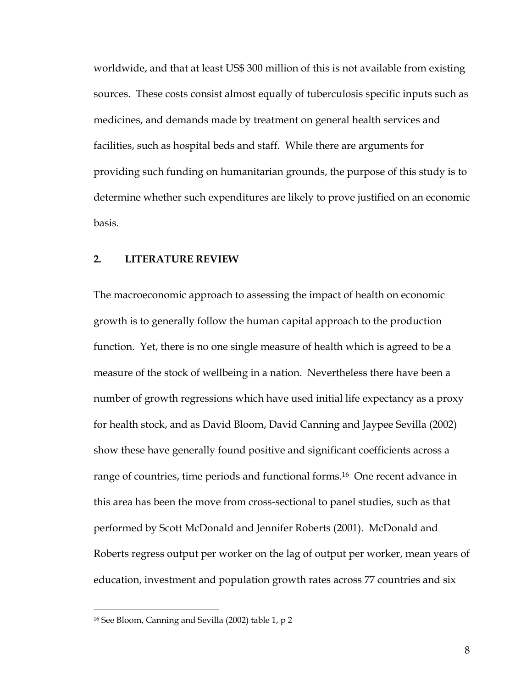worldwide, and that at least US\$ 300 million of this is not available from existing sources. These costs consist almost equally of tuberculosis specific inputs such as medicines, and demands made by treatment on general health services and facilities, such as hospital beds and staff. While there are arguments for providing such funding on humanitarian grounds, the purpose of this study is to determine whether such expenditures are likely to prove justified on an economic basis.

### **2. LITERATURE REVIEW**

The macroeconomic approach to assessing the impact of health on economic growth is to generally follow the human capital approach to the production function. Yet, there is no one single measure of health which is agreed to be a measure of the stock of wellbeing in a nation. Nevertheless there have been a number of growth regressions which have used initial life expectancy as a proxy for health stock, and as David Bloom, David Canning and Jaypee Sevilla (2002) show these have generally found positive and significant coefficients across a range of countries, time periods and functional forms.<sup>16</sup> One recent advance in this area has been the move from cross-sectional to panel studies, such as that performed by Scott McDonald and Jennifer Roberts (2001). McDonald and Roberts regress output per worker on the lag of output per worker, mean years of education, investment and population growth rates across 77 countries and six

<span id="page-7-0"></span><sup>16</sup> See Bloom, Canning and Sevilla (2002) table 1, p 2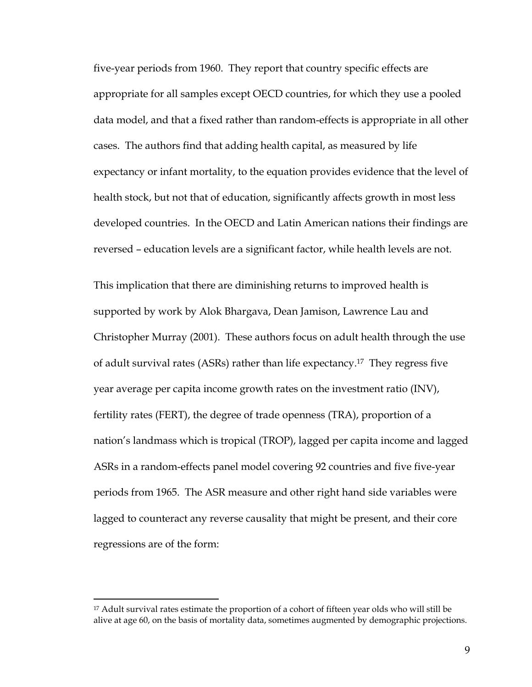five-year periods from 1960. They report that country specific effects are appropriate for all samples except OECD countries, for which they use a pooled data model, and that a fixed rather than random-effects is appropriate in all other cases. The authors find that adding health capital, as measured by life expectancy or infant mortality, to the equation provides evidence that the level of health stock, but not that of education, significantly affects growth in most less developed countries. In the OECD and Latin American nations their findings are reversed – education levels are a significant factor, while health levels are not.

This implication that there are diminishing returns to improved health is supported by work by Alok Bhargava, Dean Jamison, Lawrence Lau and Christopher Murray (2001). These authors focus on adult health through the use of adult survival rates (ASRs) rather than life expectancy.[17](#page-8-0) They regress five year average per capita income growth rates on the investment ratio (INV), fertility rates (FERT), the degree of trade openness (TRA), proportion of a nation's landmass which is tropical (TROP), lagged per capita income and lagged ASRs in a random-effects panel model covering 92 countries and five five-year periods from 1965. The ASR measure and other right hand side variables were lagged to counteract any reverse causality that might be present, and their core regressions are of the form:

<span id="page-8-0"></span><sup>&</sup>lt;sup>17</sup> Adult survival rates estimate the proportion of a cohort of fifteen year olds who will still be alive at age 60, on the basis of mortality data, sometimes augmented by demographic projections.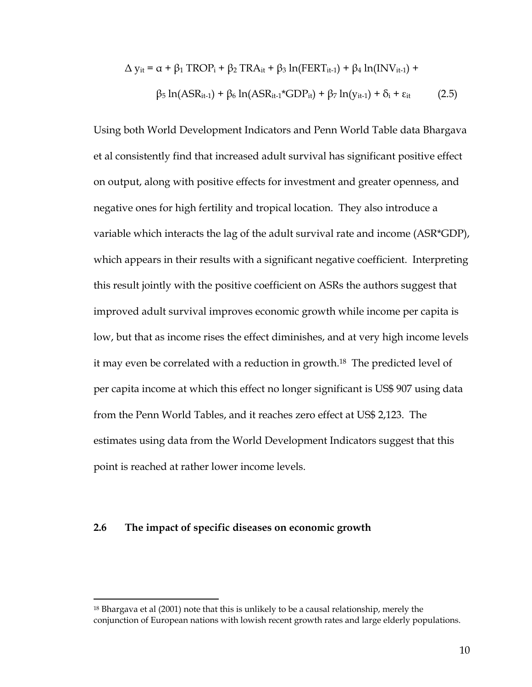$$
\Delta y_{it} = \alpha + \beta_1 \text{ TROP}_i + \beta_2 \text{ TRA}_{it} + \beta_3 \ln(\text{FERT}_{it-1}) + \beta_4 \ln(\text{INV}_{it-1}) +
$$
  

$$
\beta_5 \ln(\text{ASR}_{it-1}) + \beta_6 \ln(\text{ASR}_{it-1} \text{*GDP}_{it}) + \beta_7 \ln(y_{it-1}) + \delta_i + \epsilon_{it} \tag{2.5}
$$

Using both World Development Indicators and Penn World Table data Bhargava et al consistently find that increased adult survival has significant positive effect on output, along with positive effects for investment and greater openness, and negative ones for high fertility and tropical location. They also introduce a variable which interacts the lag of the adult survival rate and income (ASR\*GDP), which appears in their results with a significant negative coefficient. Interpreting this result jointly with the positive coefficient on ASRs the authors suggest that improved adult survival improves economic growth while income per capita is low, but that as income rises the effect diminishes, and at very high income levels it may even be correlated with a reduction in growth.[18](#page-9-0) The predicted level of per capita income at which this effect no longer significant is US\$ 907 using data from the Penn World Tables, and it reaches zero effect at US\$ 2,123. The estimates using data from the World Development Indicators suggest that this point is reached at rather lower income levels.

#### **2.6 The impact of specific diseases on economic growth**

<span id="page-9-0"></span><sup>18</sup> Bhargava et al (2001) note that this is unlikely to be a causal relationship, merely the conjunction of European nations with lowish recent growth rates and large elderly populations.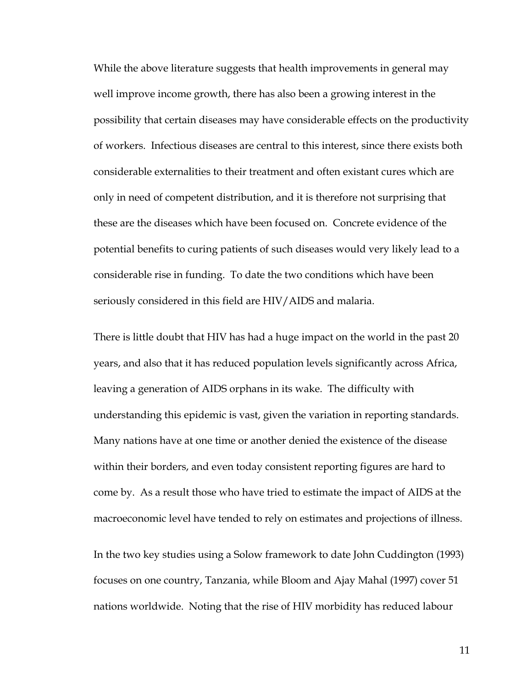While the above literature suggests that health improvements in general may well improve income growth, there has also been a growing interest in the possibility that certain diseases may have considerable effects on the productivity of workers. Infectious diseases are central to this interest, since there exists both considerable externalities to their treatment and often existant cures which are only in need of competent distribution, and it is therefore not surprising that these are the diseases which have been focused on. Concrete evidence of the potential benefits to curing patients of such diseases would very likely lead to a considerable rise in funding. To date the two conditions which have been seriously considered in this field are HIV/AIDS and malaria.

There is little doubt that HIV has had a huge impact on the world in the past 20 years, and also that it has reduced population levels significantly across Africa, leaving a generation of AIDS orphans in its wake. The difficulty with understanding this epidemic is vast, given the variation in reporting standards. Many nations have at one time or another denied the existence of the disease within their borders, and even today consistent reporting figures are hard to come by. As a result those who have tried to estimate the impact of AIDS at the macroeconomic level have tended to rely on estimates and projections of illness.

In the two key studies using a Solow framework to date John Cuddington (1993) focuses on one country, Tanzania, while Bloom and Ajay Mahal (1997) cover 51 nations worldwide. Noting that the rise of HIV morbidity has reduced labour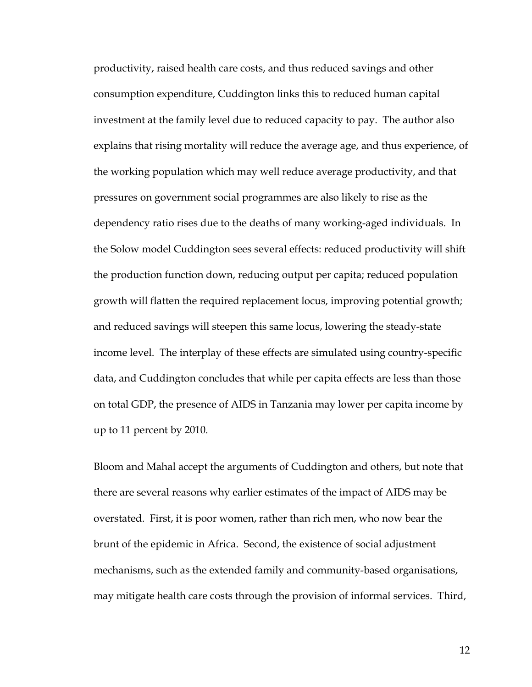productivity, raised health care costs, and thus reduced savings and other consumption expenditure, Cuddington links this to reduced human capital investment at the family level due to reduced capacity to pay. The author also explains that rising mortality will reduce the average age, and thus experience, of the working population which may well reduce average productivity, and that pressures on government social programmes are also likely to rise as the dependency ratio rises due to the deaths of many working-aged individuals. In the Solow model Cuddington sees several effects: reduced productivity will shift the production function down, reducing output per capita; reduced population growth will flatten the required replacement locus, improving potential growth; and reduced savings will steepen this same locus, lowering the steady-state income level. The interplay of these effects are simulated using country-specific data, and Cuddington concludes that while per capita effects are less than those on total GDP, the presence of AIDS in Tanzania may lower per capita income by up to 11 percent by 2010.

Bloom and Mahal accept the arguments of Cuddington and others, but note that there are several reasons why earlier estimates of the impact of AIDS may be overstated. First, it is poor women, rather than rich men, who now bear the brunt of the epidemic in Africa. Second, the existence of social adjustment mechanisms, such as the extended family and community-based organisations, may mitigate health care costs through the provision of informal services. Third,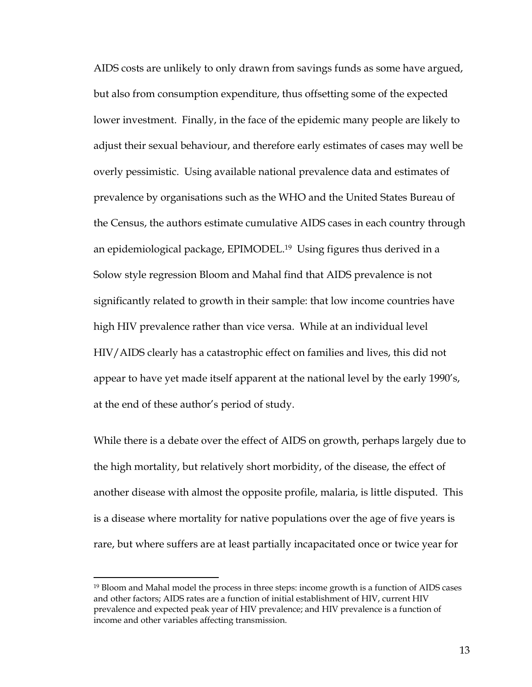AIDS costs are unlikely to only drawn from savings funds as some have argued, but also from consumption expenditure, thus offsetting some of the expected lower investment. Finally, in the face of the epidemic many people are likely to adjust their sexual behaviour, and therefore early estimates of cases may well be overly pessimistic. Using available national prevalence data and estimates of prevalence by organisations such as the WHO and the United States Bureau of the Census, the authors estimate cumulative AIDS cases in each country through an epidemiological package, EPIMODEL.[19](#page-12-0) Using figures thus derived in a Solow style regression Bloom and Mahal find that AIDS prevalence is not significantly related to growth in their sample: that low income countries have high HIV prevalence rather than vice versa. While at an individual level HIV/AIDS clearly has a catastrophic effect on families and lives, this did not appear to have yet made itself apparent at the national level by the early 1990's, at the end of these author's period of study.

While there is a debate over the effect of AIDS on growth, perhaps largely due to the high mortality, but relatively short morbidity, of the disease, the effect of another disease with almost the opposite profile, malaria, is little disputed. This is a disease where mortality for native populations over the age of five years is rare, but where suffers are at least partially incapacitated once or twice year for

<span id="page-12-0"></span><sup>19</sup> Bloom and Mahal model the process in three steps: income growth is a function of AIDS cases and other factors; AIDS rates are a function of initial establishment of HIV, current HIV prevalence and expected peak year of HIV prevalence; and HIV prevalence is a function of income and other variables affecting transmission.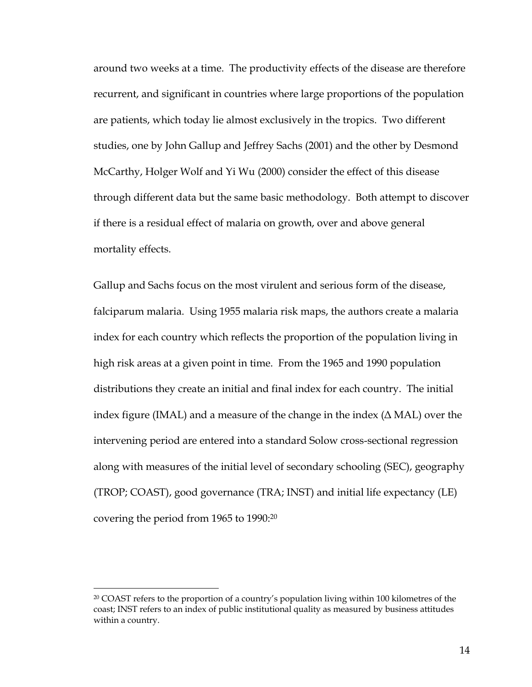around two weeks at a time. The productivity effects of the disease are therefore recurrent, and significant in countries where large proportions of the population are patients, which today lie almost exclusively in the tropics. Two different studies, one by John Gallup and Jeffrey Sachs (2001) and the other by Desmond McCarthy, Holger Wolf and Yi Wu (2000) consider the effect of this disease through different data but the same basic methodology. Both attempt to discover if there is a residual effect of malaria on growth, over and above general mortality effects.

Gallup and Sachs focus on the most virulent and serious form of the disease, falciparum malaria. Using 1955 malaria risk maps, the authors create a malaria index for each country which reflects the proportion of the population living in high risk areas at a given point in time. From the 1965 and 1990 population distributions they create an initial and final index for each country. The initial index figure (IMAL) and a measure of the change in the index  $(∆ MAL)$  over the intervening period are entered into a standard Solow cross-sectional regression along with measures of the initial level of secondary schooling (SEC), geography (TROP; COAST), good governance (TRA; INST) and initial life expectancy (LE) covering the period from 1965 to 1990[:20](#page-13-0)

<span id="page-13-0"></span><sup>&</sup>lt;sup>20</sup> COAST refers to the proportion of a country's population living within 100 kilometres of the coast; INST refers to an index of public institutional quality as measured by business attitudes within a country.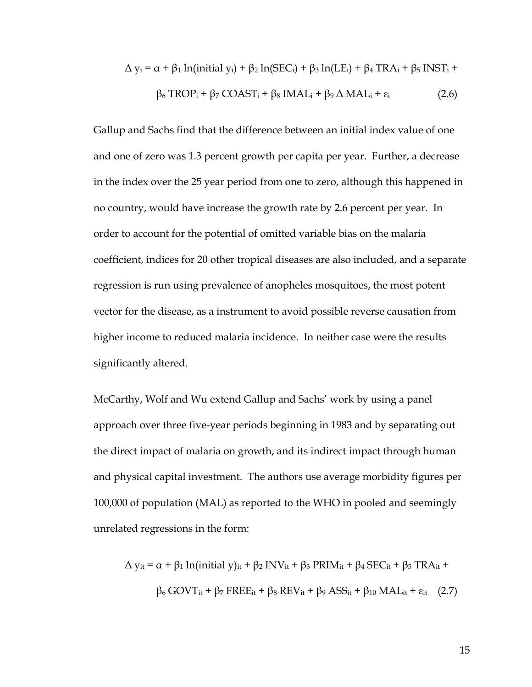$$
\Delta y_i = \alpha + \beta_1 \ln(\text{initial } y_i) + \beta_2 \ln(\text{SEC}_i) + \beta_3 \ln(\text{LE}_i) + \beta_4 \text{ TRA}_i + \beta_5 \text{ INST}_i +
$$
  

$$
\beta_6 \text{ TROP}_i + \beta_7 \text{ COAST}_i + \beta_8 \text{IMAL}_i + \beta_9 \Delta \text{ MAL}_i + \varepsilon_i \tag{2.6}
$$

Gallup and Sachs find that the difference between an initial index value of one and one of zero was 1.3 percent growth per capita per year. Further, a decrease in the index over the 25 year period from one to zero, although this happened in no country, would have increase the growth rate by 2.6 percent per year. In order to account for the potential of omitted variable bias on the malaria coefficient, indices for 20 other tropical diseases are also included, and a separate regression is run using prevalence of anopheles mosquitoes, the most potent vector for the disease, as a instrument to avoid possible reverse causation from higher income to reduced malaria incidence. In neither case were the results significantly altered.

McCarthy, Wolf and Wu extend Gallup and Sachs' work by using a panel approach over three five-year periods beginning in 1983 and by separating out the direct impact of malaria on growth, and its indirect impact through human and physical capital investment. The authors use average morbidity figures per 100,000 of population (MAL) as reported to the WHO in pooled and seemingly unrelated regressions in the form:

$$
\Delta y_{it} = \alpha + \beta_1 \ln(\text{initial } y)_{it} + \beta_2 \text{INV}_{it} + \beta_3 \text{PRIM}_{it} + \beta_4 \text{SEC}_{it} + \beta_5 \text{TRA}_{it} +
$$

$$
\beta_6 \text{GOVT}_{it} + \beta_7 \text{FREE}_{it} + \beta_8 \text{REV}_{it} + \beta_9 \text{ASS}_{it} + \beta_{10} \text{MAL}_{it} + \epsilon_{it} \quad (2.7)
$$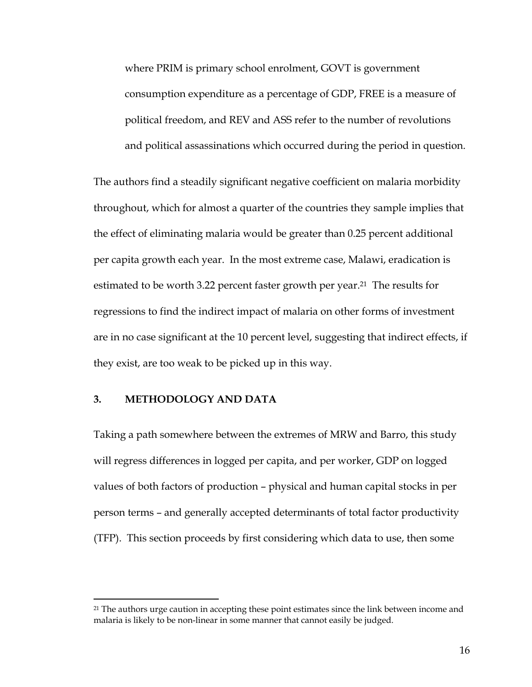where PRIM is primary school enrolment, GOVT is government consumption expenditure as a percentage of GDP, FREE is a measure of political freedom, and REV and ASS refer to the number of revolutions and political assassinations which occurred during the period in question.

The authors find a steadily significant negative coefficient on malaria morbidity throughout, which for almost a quarter of the countries they sample implies that the effect of eliminating malaria would be greater than 0.25 percent additional per capita growth each year. In the most extreme case, Malawi, eradication is estimated to be worth 3.22 percent faster growth per year.<sup>21</sup> The results for regressions to find the indirect impact of malaria on other forms of investment are in no case significant at the 10 percent level, suggesting that indirect effects, if they exist, are too weak to be picked up in this way.

#### **3. METHODOLOGY AND DATA**

 $\overline{a}$ 

Taking a path somewhere between the extremes of MRW and Barro, this study will regress differences in logged per capita, and per worker, GDP on logged values of both factors of production – physical and human capital stocks in per person terms – and generally accepted determinants of total factor productivity (TFP). This section proceeds by first considering which data to use, then some

<span id="page-15-0"></span><sup>&</sup>lt;sup>21</sup> The authors urge caution in accepting these point estimates since the link between income and malaria is likely to be non-linear in some manner that cannot easily be judged.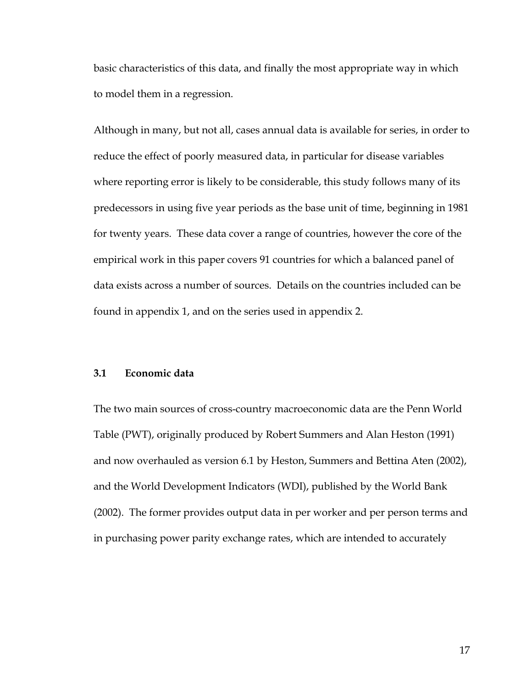basic characteristics of this data, and finally the most appropriate way in which to model them in a regression.

Although in many, but not all, cases annual data is available for series, in order to reduce the effect of poorly measured data, in particular for disease variables where reporting error is likely to be considerable, this study follows many of its predecessors in using five year periods as the base unit of time, beginning in 1981 for twenty years. These data cover a range of countries, however the core of the empirical work in this paper covers 91 countries for which a balanced panel of data exists across a number of sources. Details on the countries included can be found in appendix 1, and on the series used in appendix 2.

### **3.1 Economic data**

The two main sources of cross-country macroeconomic data are the Penn World Table (PWT), originally produced by Robert Summers and Alan Heston (1991) and now overhauled as version 6.1 by Heston, Summers and Bettina Aten (2002), and the World Development Indicators (WDI), published by the World Bank (2002). The former provides output data in per worker and per person terms and in purchasing power parity exchange rates, which are intended to accurately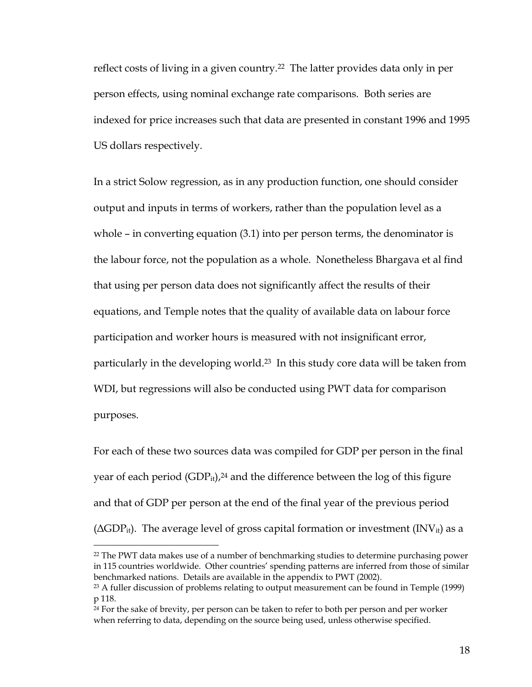reflect costs of living in a given country.[22](#page-17-0) The latter provides data only in per person effects, using nominal exchange rate comparisons. Both series are indexed for price increases such that data are presented in constant 1996 and 1995 US dollars respectively.

In a strict Solow regression, as in any production function, one should consider output and inputs in terms of workers, rather than the population level as a whole – in converting equation (3.1) into per person terms, the denominator is the labour force, not the population as a whole. Nonetheless Bhargava et al find that using per person data does not significantly affect the results of their equations, and Temple notes that the quality of available data on labour force participation and worker hours is measured with not insignificant error, particularly in the developing world.<sup>23</sup> In this study core data will be taken from WDI, but regressions will also be conducted using PWT data for comparison purposes.

For each of these two sources data was compiled for GDP per person in the final year of each period  $(GDP_{it})$ ,<sup>24</sup> and the difference between the log of this figure and that of GDP per person at the end of the final year of the previous period  $(\Delta GDP_{it})$ . The average level of gross capital formation or investment (INV<sub>it</sub>) as a

<span id="page-17-0"></span><sup>&</sup>lt;sup>22</sup> The PWT data makes use of a number of benchmarking studies to determine purchasing power in 115 countries worldwide. Other countries' spending patterns are inferred from those of similar benchmarked nations. Details are available in the appendix to PWT (2002).

<span id="page-17-1"></span><sup>&</sup>lt;sup>23</sup> A fuller discussion of problems relating to output measurement can be found in Temple (1999) p 118.

<span id="page-17-2"></span><sup>&</sup>lt;sup>24</sup> For the sake of brevity, per person can be taken to refer to both per person and per worker when referring to data, depending on the source being used, unless otherwise specified.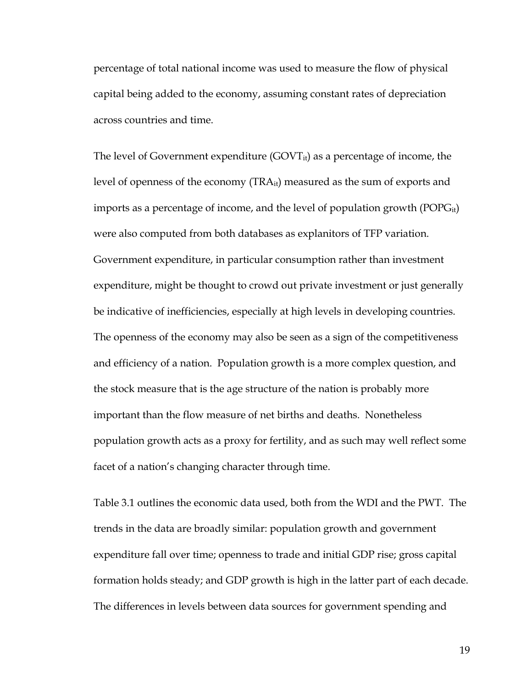percentage of total national income was used to measure the flow of physical capital being added to the economy, assuming constant rates of depreciation across countries and time.

The level of Government expenditure  $(GOVT_{it})$  as a percentage of income, the level of openness of the economy (TRAit) measured as the sum of exports and imports as a percentage of income, and the level of population growth ( $POPG<sub>it</sub>$ ) were also computed from both databases as explanitors of TFP variation. Government expenditure, in particular consumption rather than investment expenditure, might be thought to crowd out private investment or just generally be indicative of inefficiencies, especially at high levels in developing countries. The openness of the economy may also be seen as a sign of the competitiveness and efficiency of a nation. Population growth is a more complex question, and the stock measure that is the age structure of the nation is probably more important than the flow measure of net births and deaths. Nonetheless population growth acts as a proxy for fertility, and as such may well reflect some facet of a nation's changing character through time.

Table 3.1 outlines the economic data used, both from the WDI and the PWT. The trends in the data are broadly similar: population growth and government expenditure fall over time; openness to trade and initial GDP rise; gross capital formation holds steady; and GDP growth is high in the latter part of each decade. The differences in levels between data sources for government spending and

19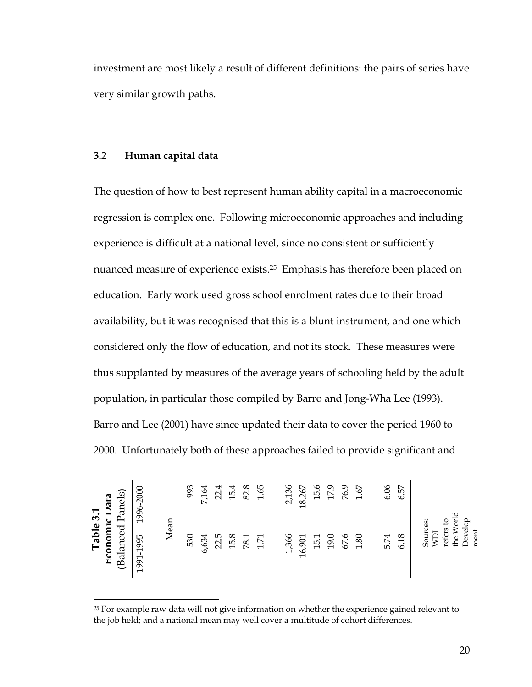investment are most likely a result of different definitions: the pairs of series have very similar growth paths.

#### **3.2 Human capital data**

 $\overline{a}$ 

The question of how to best represent human ability capital in a macroeconomic regression is complex one. Following microeconomic approaches and including experience is difficult at a national level, since no consistent or sufficiently nuanced measure of experience exists.[25](#page-19-0) Emphasis has therefore been placed on education. Early work used gross school enrolment rates due to their broad availability, but it was recognised that this is a blunt instrument, and one which considered only the flow of education, and not its stock. These measures were thus supplanted by measures of the average years of schooling held by the adult population, in particular those compiled by Barro and Jong-Wha Lee (1993). Barro and Lee (2001) have since updated their data to cover the period 1960 to 2000. Unfortunately both of these approaches failed to provide significant and

|           | <b>Data</b>                   | 1996-2000 |      | 993 | 7,164 | 22.4 | 15.4 | 82.8 | 1.65    | 2,136 | 18,267 | 15.6 | 17.9 | 76.9 | $1.67\,$ | 6.06 | 6.57 |                 |                        |         |      |
|-----------|-------------------------------|-----------|------|-----|-------|------|------|------|---------|-------|--------|------|------|------|----------|------|------|-----------------|------------------------|---------|------|
| Table 3.1 | (Balanced Panels)<br>Economic | 1991-1995 | Mean | 530 | 6,634 | 22.5 | 15.8 | 78.1 | $171\,$ | 1,366 | 16,901 | 15.1 | 19.0 | 67.6 | 1.80     | 5.74 | 6.18 | Sources:<br>ICM | the World<br>refers to | Develop | mont |

<span id="page-19-0"></span><sup>25</sup> For example raw data will not give information on whether the experience gained relevant to the job held; and a national mean may well cover a multitude of cohort differences.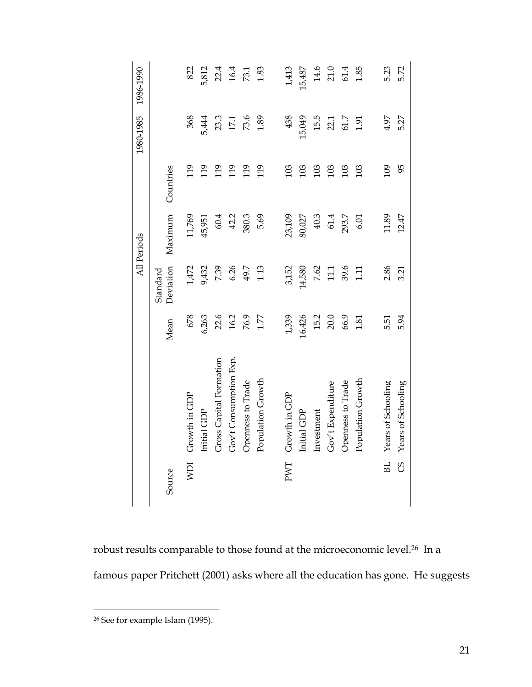|            |                         |          |                       | All Periods |           |          | 1980-1985 1986-1990 |
|------------|-------------------------|----------|-----------------------|-------------|-----------|----------|---------------------|
| Source     |                         | Mean     | Deviation<br>Standard | Maximum     | Countries |          |                     |
| <b>NDI</b> | Growth in GDP           | 678      | 1,472                 | 11,769      | 119       | 368      | 822                 |
|            | Initial GDP             | 6,263    | 9,432                 | 45,951      | 119       | 5,444    | 5,812               |
|            | Gross Capital Formation | 22.6     | 7.39                  | 60.4        | 119       | 23.3     | 22.4                |
|            | Gov't Consumption Exp.  | 16.2     | 6.26                  | 42.2        | 119       | $17.1\,$ | 16.4                |
|            | Openness to Trade       | 76.9     | 49.7                  | 380.3       | 119       | 73.6     | 73.1                |
|            | Population Growth       | $1.77\,$ | 1.13                  | 5.69        | 119       | 1.89     | 1.83                |
|            |                         |          |                       |             |           |          |                     |
| PWT        | Growth in GDP           | 1,339    | 3,152                 | 23,109      | 103       | 438      | 1,413               |
|            | Initial GDP             | 16,426   | 14,580                | 80,027      | 103       | 15,049   | 15,487              |
|            | Investment              | 15.2     | 7.62                  | 40.3        | 103       | 15.5     | 14.6                |
|            | Gov't Expenditure       | $20.0\,$ | 11.1                  | 61.4        | 103       | 22.1     | 21.0                |
|            | Openness to Trade       | 66.9     | 39.6                  | 293.7       | 103       | 61.7     | 61.4                |
|            | Population Growth       | 1.81     | 111                   | 6.01        | 103       | 1.91     | 1.85                |
|            |                         |          |                       |             |           |          |                     |
| BL.        | Years of Schooling      | 5.51     | 2.86                  | 11.89       | 109       | 4.97     | 5.23                |
| SO         | Years of Schooling      | 5.94     | 3.21                  | 12.47       | 95        | 5.27     | 5.72                |

robust results comparable to those found at the microeconomic level.[26](#page-20-0) In a famous paper Pritchett (2001) asks where all the education has gone. He suggests

<span id="page-20-0"></span><sup>26</sup> See for example Islam (1995).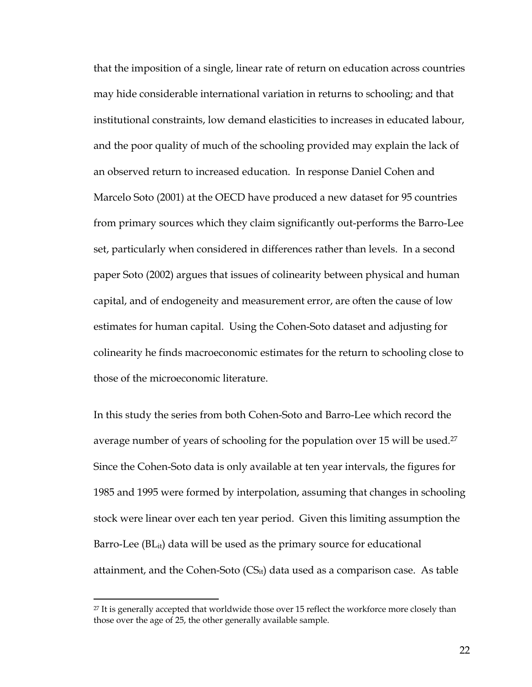that the imposition of a single, linear rate of return on education across countries may hide considerable international variation in returns to schooling; and that institutional constraints, low demand elasticities to increases in educated labour, and the poor quality of much of the schooling provided may explain the lack of an observed return to increased education. In response Daniel Cohen and Marcelo Soto (2001) at the OECD have produced a new dataset for 95 countries from primary sources which they claim significantly out-performs the Barro-Lee set, particularly when considered in differences rather than levels. In a second paper Soto (2002) argues that issues of colinearity between physical and human capital, and of endogeneity and measurement error, are often the cause of low estimates for human capital. Using the Cohen-Soto dataset and adjusting for colinearity he finds macroeconomic estimates for the return to schooling close to those of the microeconomic literature.

In this study the series from both Cohen-Soto and Barro-Lee which record the average number of years of schooling for the population over 15 will be used.[27](#page-21-0)  Since the Cohen-Soto data is only available at ten year intervals, the figures for 1985 and 1995 were formed by interpolation, assuming that changes in schooling stock were linear over each ten year period. Given this limiting assumption the Barro-Lee (BL<sub>it</sub>) data will be used as the primary source for educational attainment, and the Cohen-Soto  $(CS_{it})$  data used as a comparison case. As table

<span id="page-21-0"></span><sup>&</sup>lt;sup>27</sup> It is generally accepted that worldwide those over 15 reflect the workforce more closely than those over the age of 25, the other generally available sample.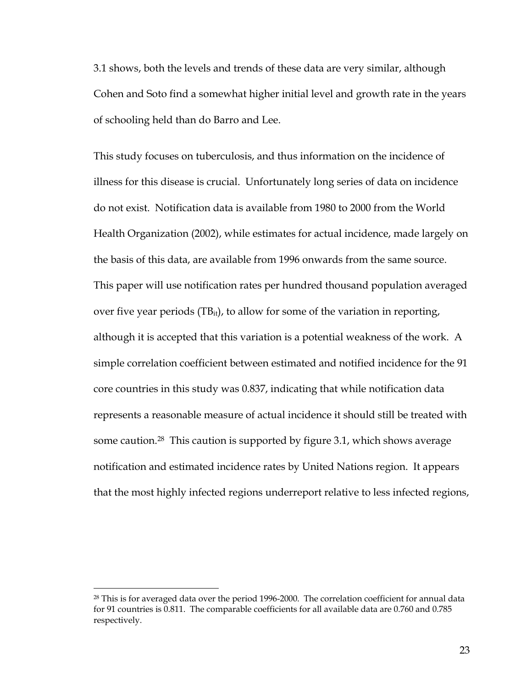3.1 shows, both the levels and trends of these data are very similar, although Cohen and Soto find a somewhat higher initial level and growth rate in the years of schooling held than do Barro and Lee.

This study focuses on tuberculosis, and thus information on the incidence of illness for this disease is crucial. Unfortunately long series of data on incidence do not exist. Notification data is available from 1980 to 2000 from the World Health Organization (2002), while estimates for actual incidence, made largely on the basis of this data, are available from 1996 onwards from the same source. This paper will use notification rates per hundred thousand population averaged over five year periods (TBit), to allow for some of the variation in reporting, although it is accepted that this variation is a potential weakness of the work. A simple correlation coefficient between estimated and notified incidence for the 91 core countries in this study was 0.837, indicating that while notification data represents a reasonable measure of actual incidence it should still be treated with some caution.<sup>28</sup> This caution is supported by figure 3.1, which shows average notification and estimated incidence rates by United Nations region. It appears that the most highly infected regions underreport relative to less infected regions,

<span id="page-22-0"></span><sup>&</sup>lt;sup>28</sup> This is for averaged data over the period 1996-2000. The correlation coefficient for annual data for 91 countries is 0.811. The comparable coefficients for all available data are 0.760 and 0.785 respectively.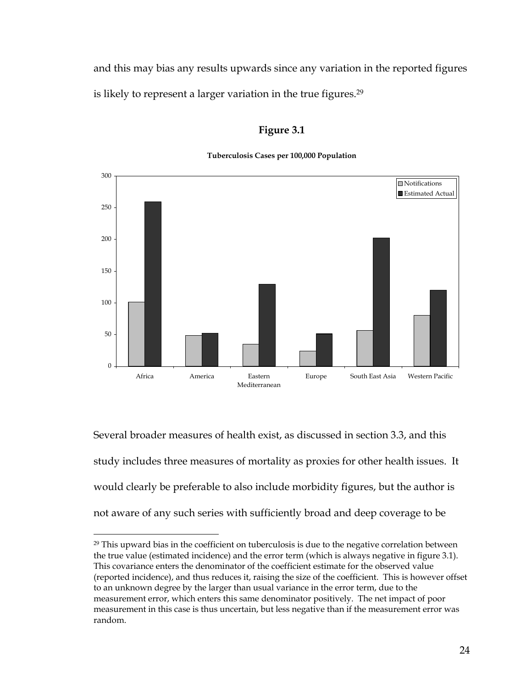and this may bias any results upwards since any variation in the reported figures is likely to represent a larger variation in the true figures.<sup>[29](#page-23-0)</sup>

## **Figure 3.1**

#### **Tuberculosis Cases per 100,000 Population**



Several broader measures of health exist, as discussed in section 3.3, and this study includes three measures of mortality as proxies for other health issues. It would clearly be preferable to also include morbidity figures, but the author is not aware of any such series with sufficiently broad and deep coverage to be

<span id="page-23-0"></span><sup>&</sup>lt;sup>29</sup> This upward bias in the coefficient on tuberculosis is due to the negative correlation between the true value (estimated incidence) and the error term (which is always negative in figure 3.1). This covariance enters the denominator of the coefficient estimate for the observed value (reported incidence), and thus reduces it, raising the size of the coefficient. This is however offset to an unknown degree by the larger than usual variance in the error term, due to the measurement error, which enters this same denominator positively. The net impact of poor measurement in this case is thus uncertain, but less negative than if the measurement error was random.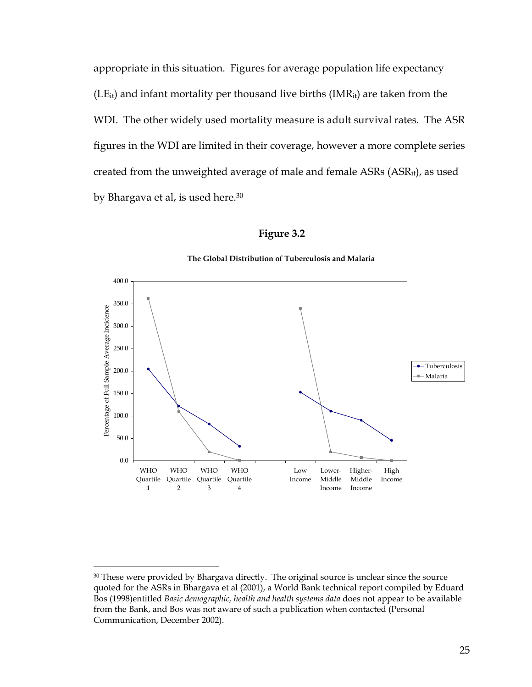appropriate in this situation. Figures for average population life expectancy  $(LE_{it})$  and infant mortality per thousand live births  $(IMR_{it})$  are taken from the WDI. The other widely used mortality measure is adult survival rates. The ASR figures in the WDI are limited in their coverage, however a more complete series created from the unweighted average of male and female ASRs (ASRit), as used by Bhargava et al, is used here.<sup>30</sup>

### **Figure 3.2**



#### **The Global Distribution of Tuberculosis and Malaria**

<span id="page-24-0"></span><sup>&</sup>lt;sup>30</sup> These were provided by Bhargava directly. The original source is unclear since the source quoted for the ASRs in Bhargava et al (2001), a World Bank technical report compiled by Eduard Bos (1998)entitled *Basic demographic, health and health systems data* does not appear to be available from the Bank, and Bos was not aware of such a publication when contacted (Personal Communication, December 2002).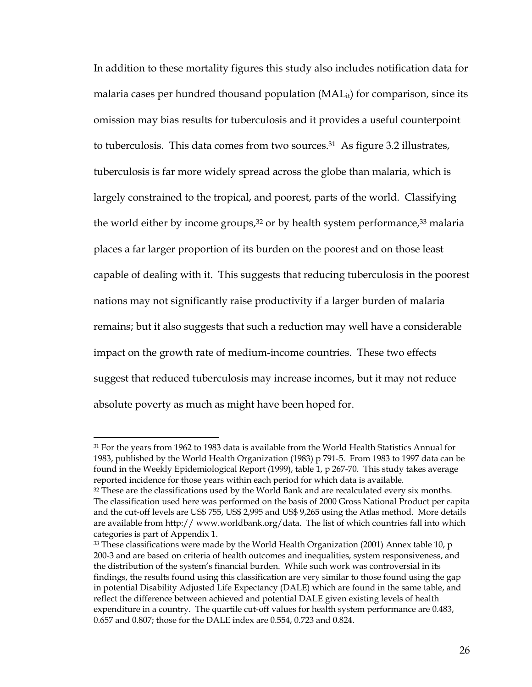In addition to these mortality figures this study also includes notification data for malaria cases per hundred thousand population  $(MAL_{it})$  for comparison, since its omission may bias results for tuberculosis and it provides a useful counterpoint to tuberculosis. This data comes from two sources.[31](#page-25-0) As figure 3.2 illustrates, tuberculosis is far more widely spread across the globe than malaria, which is largely constrained to the tropical, and poorest, parts of the world. Classifying the world either by income groups,<sup>32</sup> or by health system performance,<sup>33</sup> malaria places a far larger proportion of its burden on the poorest and on those least capable of dealing with it. This suggests that reducing tuberculosis in the poorest nations may not significantly raise productivity if a larger burden of malaria remains; but it also suggests that such a reduction may well have a considerable impact on the growth rate of medium-income countries. These two effects suggest that reduced tuberculosis may increase incomes, but it may not reduce absolute poverty as much as might have been hoped for.

<span id="page-25-0"></span><sup>&</sup>lt;sup>31</sup> For the years from 1962 to 1983 data is available from the World Health Statistics Annual for 1983, published by the World Health Organization (1983) p 791-5. From 1983 to 1997 data can be found in the Weekly Epidemiological Report (1999), table 1, p 267-70. This study takes average reported incidence for those years within each period for which data is available.

<span id="page-25-1"></span> $32$  These are the classifications used by the World Bank and are recalculated every six months. The classification used here was performed on the basis of 2000 Gross National Product per capita and the cut-off levels are US\$ 755, US\$ 2,995 and US\$ 9,265 using the Atlas method. More details are available from http:// www.worldbank.org/data. The list of which countries fall into which categories is part of Appendix 1.

<span id="page-25-2"></span> $33$  These classifications were made by the World Health Organization (2001) Annex table 10, p 200-3 and are based on criteria of health outcomes and inequalities, system responsiveness, and the distribution of the system's financial burden. While such work was controversial in its findings, the results found using this classification are very similar to those found using the gap in potential Disability Adjusted Life Expectancy (DALE) which are found in the same table, and reflect the difference between achieved and potential DALE given existing levels of health expenditure in a country. The quartile cut-off values for health system performance are 0.483, 0.657 and 0.807; those for the DALE index are 0.554, 0.723 and 0.824.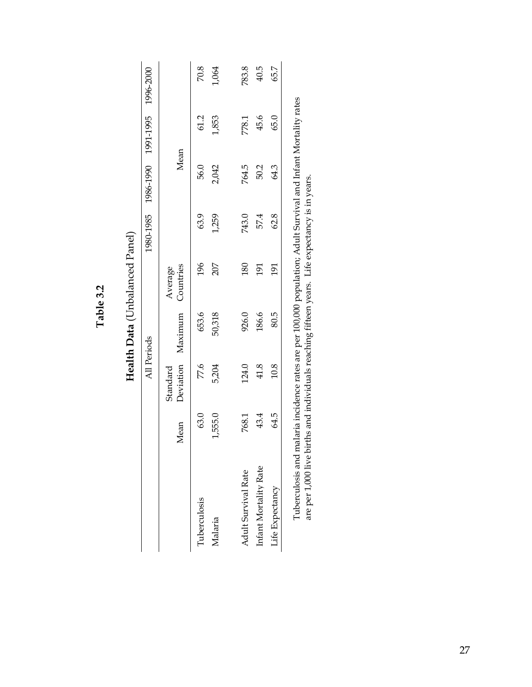|                                                                                                                    |         |          | Health Data (Unbalanced Panel) |                      |       |                               |       |           |
|--------------------------------------------------------------------------------------------------------------------|---------|----------|--------------------------------|----------------------|-------|-------------------------------|-------|-----------|
|                                                                                                                    |         |          | All Periods                    |                      |       | 1980-1985 1986-1990 1991-1995 |       | 1996-2000 |
|                                                                                                                    | Mean    | Standard | Deviation Maximum              | Countries<br>Average |       | Mean                          |       |           |
| Tuberculosis                                                                                                       | 63.0    | 77.6     | 653.6                          | 196                  | 63.9  | 56.0                          | 61.2  | 70.8      |
| Malaria                                                                                                            | 1,555.0 | 5,204    | 50,318                         | 207                  | 1,259 | 2,042                         | 1,853 | 1,064     |
| Adult Survival Rate                                                                                                | 768.1   | 124.0    | 926.0                          | 180                  | 743.0 | 764.5                         | 778.1 | 783.8     |
| Infant Mortality Rate                                                                                              | 43.4    | 41.8     | 186.6                          | $\overline{191}$     | 57.4  | 50.2                          | 45.6  | 40.5      |
| Life Expectancy                                                                                                    | 64.5    | 10.8     | 80.5                           | 191                  | 62.8  | 64.3                          | 65.0  | 65.7      |
| Table 12 and and an indicate the common common common of OD DOO and the common of the fact of the literation of co |         |          |                                |                      |       |                               |       |           |

**Table 3.2** 

Table 3.2

Tuberculosis and malaria incidence rates are per 100,000 population; Adult Survival and Infant Mortality rates<br>are per 1,000 live births and individuals reaching fifteen years. Life expectancy is in years. Tuberculosis and malaria incidence rates are per 100,000 population; Adult Survival and Infant Mortality rates are per 1,000 live births and individuals reaching fifteen years. Life expectancy is in years.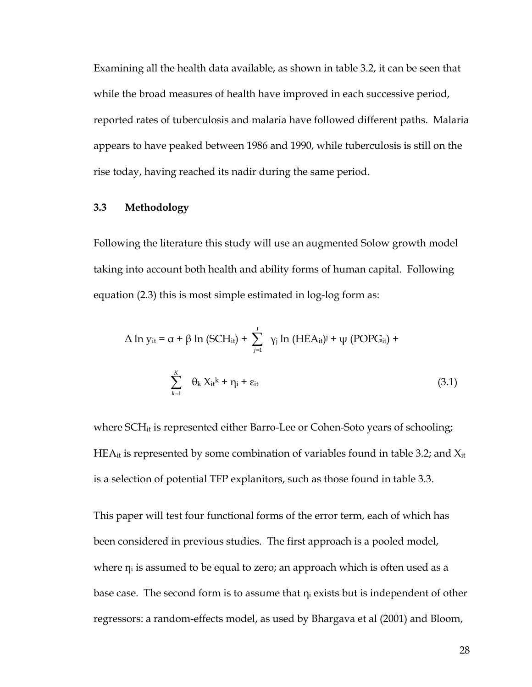Examining all the health data available, as shown in table 3.2, it can be seen that while the broad measures of health have improved in each successive period, reported rates of tuberculosis and malaria have followed different paths. Malaria appears to have peaked between 1986 and 1990, while tuberculosis is still on the rise today, having reached its nadir during the same period.

### **3.3 Methodology**

Following the literature this study will use an augmented Solow growth model taking into account both health and ability forms of human capital. Following equation (2.3) this is most simple estimated in log-log form as:

$$
\Delta \ln y_{it} = \alpha + \beta \ln (\text{SCH}_{it}) + \sum_{j=1}^{J} \gamma_j \ln (\text{HEA}_{it})^j + \psi (\text{POPG}_{it}) + \sum_{k=1}^{K} \theta_k X_{it}^k + \eta_i + \varepsilon_{it}
$$
\n(3.1)

where SCH<sub>it</sub> is represented either Barro-Lee or Cohen-Soto years of schooling; HE $A_{it}$  is represented by some combination of variables found in table 3.2; and  $X_{it}$ is a selection of potential TFP explanitors, such as those found in table 3.3.

This paper will test four functional forms of the error term, each of which has been considered in previous studies. The first approach is a pooled model, where  $n_i$  is assumed to be equal to zero; an approach which is often used as a base case. The second form is to assume that  $\eta_i$  exists but is independent of other regressors: a random-effects model, as used by Bhargava et al (2001) and Bloom,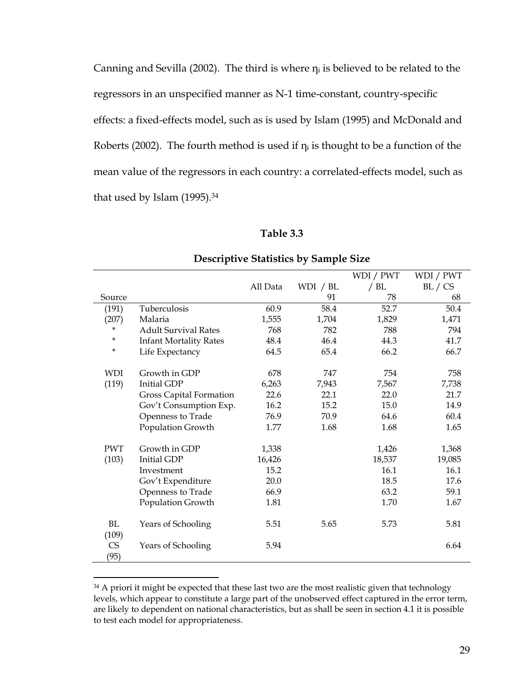Canning and Sevilla (2002). The third is where  $\eta_i$  is believed to be related to the regressors in an unspecified manner as N-1 time-constant, country-specific effects: a fixed-effects model, such as is used by Islam (1995) and McDonald and Roberts (2002). The fourth method is used if  $\eta_i$  is thought to be a function of the mean value of the regressors in each country: a correlated-effects model, such as that used by Islam  $(1995).<sup>34</sup>$ 

| Table 3.3 |  |
|-----------|--|
|-----------|--|

|             |                               |          |          | WDI / PWT | WDI / PWT |
|-------------|-------------------------------|----------|----------|-----------|-----------|
|             |                               | All Data | WDI / BL | / $BL$    | BL / CS   |
| Source      |                               |          | 91       | 78        | 68        |
| (191)       | Tuberculosis                  | 60.9     | 58.4     | 52.7      | 50.4      |
| (207)       | Malaria                       | 1,555    | 1,704    | 1,829     | 1,471     |
| *           | <b>Adult Survival Rates</b>   | 768      | 782      | 788       | 794       |
| *           | <b>Infant Mortality Rates</b> | 48.4     | 46.4     | 44.3      | 41.7      |
| *           | Life Expectancy               | 64.5     | 65.4     | 66.2      | 66.7      |
| <b>WDI</b>  | Growth in GDP                 | 678      | 747      | 754       | 758       |
|             |                               |          |          |           |           |
| (119)       | <b>Initial GDP</b>            | 6,263    | 7,943    | 7,567     | 7,738     |
|             | Gross Capital Formation       | 22.6     | 22.1     | 22.0      | 21.7      |
|             | Gov't Consumption Exp.        | 16.2     | 15.2     | 15.0      | 14.9      |
|             | Openness to Trade             | 76.9     | 70.9     | 64.6      | 60.4      |
|             | Population Growth             | 1.77     | 1.68     | 1.68      | 1.65      |
| <b>PWT</b>  | Growth in GDP                 | 1,338    |          | 1,426     | 1,368     |
| (103)       | <b>Initial GDP</b>            | 16,426   |          | 18,537    | 19,085    |
|             | Investment                    | 15.2     |          | 16.1      | 16.1      |
|             | Gov't Expenditure             | 20.0     |          | 18.5      | 17.6      |
|             | Openness to Trade             | 66.9     |          | 63.2      | 59.1      |
|             | Population Growth             | 1.81     |          | 1.70      | 1.67      |
| BL<br>(109) | Years of Schooling            | 5.51     | 5.65     | 5.73      | 5.81      |
| CS<br>(95)  | Years of Schooling            | 5.94     |          |           | 6.64      |

### **Descriptive Statistics by Sample Size**

<span id="page-28-0"></span> $34$  A priori it might be expected that these last two are the most realistic given that technology levels, which appear to constitute a large part of the unobserved effect captured in the error term, are likely to dependent on national characteristics, but as shall be seen in section 4.1 it is possible to test each model for appropriateness.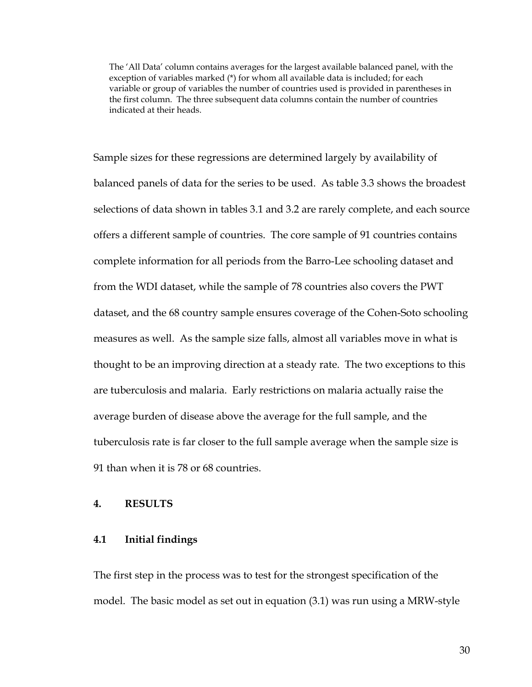The 'All Data' column contains averages for the largest available balanced panel, with the exception of variables marked (\*) for whom all available data is included; for each variable or group of variables the number of countries used is provided in parentheses in the first column. The three subsequent data columns contain the number of countries indicated at their heads.

Sample sizes for these regressions are determined largely by availability of balanced panels of data for the series to be used. As table 3.3 shows the broadest selections of data shown in tables 3.1 and 3.2 are rarely complete, and each source offers a different sample of countries. The core sample of 91 countries contains complete information for all periods from the Barro-Lee schooling dataset and from the WDI dataset, while the sample of 78 countries also covers the PWT dataset, and the 68 country sample ensures coverage of the Cohen-Soto schooling measures as well. As the sample size falls, almost all variables move in what is thought to be an improving direction at a steady rate. The two exceptions to this are tuberculosis and malaria. Early restrictions on malaria actually raise the average burden of disease above the average for the full sample, and the tuberculosis rate is far closer to the full sample average when the sample size is 91 than when it is 78 or 68 countries.

### **4. RESULTS**

### **4.1 Initial findings**

The first step in the process was to test for the strongest specification of the model. The basic model as set out in equation (3.1) was run using a MRW-style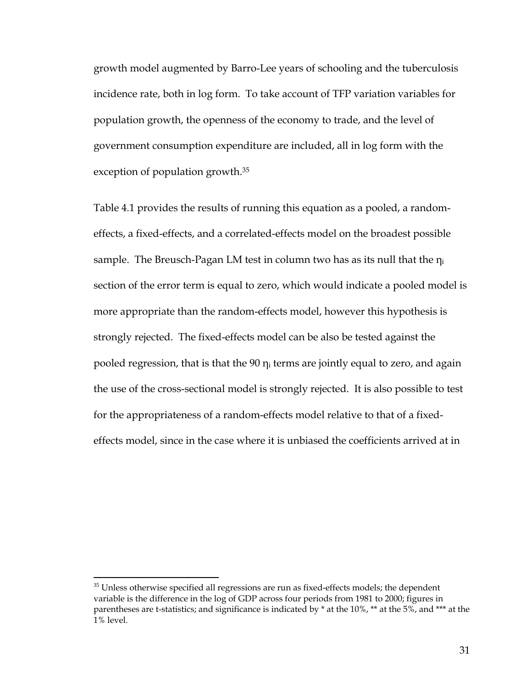growth model augmented by Barro-Lee years of schooling and the tuberculosis incidence rate, both in log form. To take account of TFP variation variables for population growth, the openness of the economy to trade, and the level of government consumption expenditure are included, all in log form with the exception of population growth.[35](#page-30-0)

Table 4.1 provides the results of running this equation as a pooled, a randomeffects, a fixed-effects, and a correlated-effects model on the broadest possible sample. The Breusch-Pagan LM test in column two has as its null that the  $\eta_i$ section of the error term is equal to zero, which would indicate a pooled model is more appropriate than the random-effects model, however this hypothesis is strongly rejected. The fixed-effects model can be also be tested against the pooled regression, that is that the 90  $\eta_i$  terms are jointly equal to zero, and again the use of the cross-sectional model is strongly rejected. It is also possible to test for the appropriateness of a random-effects model relative to that of a fixedeffects model, since in the case where it is unbiased the coefficients arrived at in

<span id="page-30-0"></span><sup>&</sup>lt;sup>35</sup> Unless otherwise specified all regressions are run as fixed-effects models; the dependent variable is the difference in the log of GDP across four periods from 1981 to 2000; figures in parentheses are t-statistics; and significance is indicated by \* at the 10%, \*\* at the 5%, and \*\*\* at the 1% level.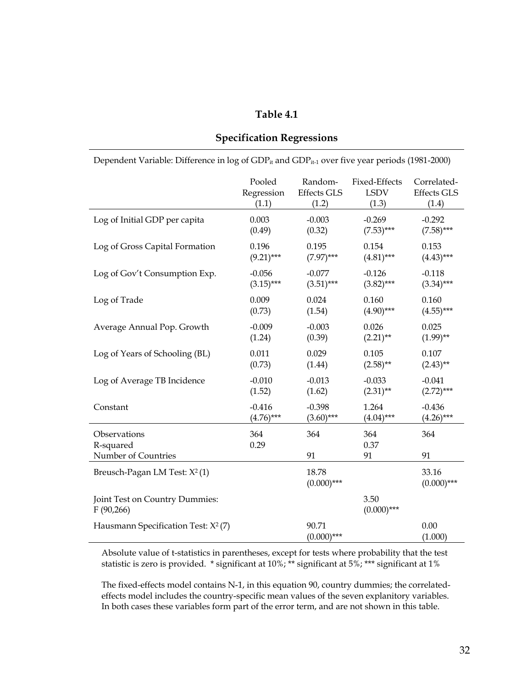### **Table 4.1**

| Dependent Variable: Difference in log of GDP <sub>it</sub> and GDP <sub>it-1</sub> over five year periods (1981-2000) |              |                        |                       |                        |  |  |  |  |
|-----------------------------------------------------------------------------------------------------------------------|--------------|------------------------|-----------------------|------------------------|--|--|--|--|
|                                                                                                                       | Pooled       | Random-                | Fixed-Effects         | Correlated-            |  |  |  |  |
|                                                                                                                       | Regression   | <b>Effects GLS</b>     | <b>LSDV</b>           | <b>Effects GLS</b>     |  |  |  |  |
|                                                                                                                       | (1.1)        | (1.2)                  | (1.3)                 | (1.4)                  |  |  |  |  |
| Log of Initial GDP per capita                                                                                         | 0.003        | $-0.003$               | $-0.269$              | $-0.292$               |  |  |  |  |
|                                                                                                                       | (0.49)       | (0.32)                 | $(7.53)$ ***          | $(7.58)$ ***           |  |  |  |  |
| Log of Gross Capital Formation                                                                                        | 0.196        | 0.195                  | 0.154                 | 0.153                  |  |  |  |  |
|                                                                                                                       | $(9.21)$ *** | $(7.97)$ ***           | $(4.81)$ ***          | $(4.43)***$            |  |  |  |  |
| Log of Gov't Consumption Exp.                                                                                         | $-0.056$     | $-0.077$               | $-0.126$              | $-0.118$               |  |  |  |  |
|                                                                                                                       | $(3.15)$ *** | $(3.51)$ ***           | $(3.82)$ ***          | $(3.34)***$            |  |  |  |  |
| Log of Trade                                                                                                          | 0.009        | 0.024                  | 0.160                 | 0.160                  |  |  |  |  |
|                                                                                                                       | (0.73)       | (1.54)                 | $(4.90)$ ***          | $(4.55)***$            |  |  |  |  |
| Average Annual Pop. Growth                                                                                            | $-0.009$     | $-0.003$               | 0.026                 | 0.025                  |  |  |  |  |
|                                                                                                                       | (1.24)       | (0.39)                 | $(2.21)$ **           | $(1.99)$ **            |  |  |  |  |
| Log of Years of Schooling (BL)                                                                                        | 0.011        | 0.029                  | 0.105                 | 0.107                  |  |  |  |  |
|                                                                                                                       | (0.73)       | (1.44)                 | $(2.58)$ **           | $(2.43)$ **            |  |  |  |  |
| Log of Average TB Incidence                                                                                           | $-0.010$     | $-0.013$               | $-0.033$              | $-0.041$               |  |  |  |  |
|                                                                                                                       | (1.52)       | (1.62)                 | $(2.31)$ **           | $(2.72)$ ***           |  |  |  |  |
| Constant                                                                                                              | $-0.416$     | $-0.398$               | 1.264                 | $-0.436$               |  |  |  |  |
|                                                                                                                       | $(4.76)$ *** | $(3.60)$ ***           | $(4.04)$ ***          | $(4.26)$ ***           |  |  |  |  |
| Observations<br>R-squared<br>Number of Countries                                                                      | 364<br>0.29  | 364<br>91              | 364<br>0.37<br>91     | 364<br>91              |  |  |  |  |
| Breusch-Pagan LM Test: X <sup>2</sup> (1)                                                                             |              | 18.78<br>$(0.000)$ *** |                       | 33.16<br>$(0.000)$ *** |  |  |  |  |
| Joint Test on Country Dummies:<br>F(90,266)                                                                           |              |                        | 3.50<br>$(0.000)$ *** |                        |  |  |  |  |
| Hausmann Specification Test: $X^2$ (7)                                                                                |              | 90.71<br>$(0.000)$ *** |                       | 0.00<br>(1.000)        |  |  |  |  |

## **Specification Regressions**

Absolute value of t-statistics in parentheses, except for tests where probability that the test statistic is zero is provided. \* significant at 10%; \*\* significant at 5%; \*\*\* significant at 1%

The fixed-effects model contains N-1, in this equation 90, country dummies; the correlatedeffects model includes the country-specific mean values of the seven explanitory variables. In both cases these variables form part of the error term, and are not shown in this table.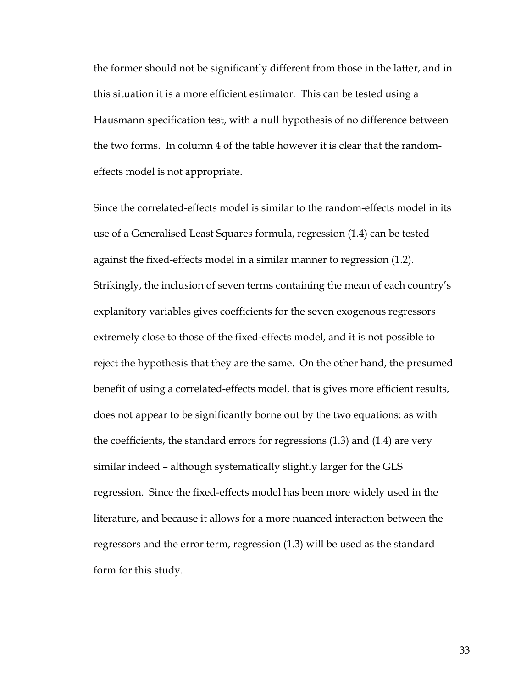the former should not be significantly different from those in the latter, and in this situation it is a more efficient estimator. This can be tested using a Hausmann specification test, with a null hypothesis of no difference between the two forms. In column 4 of the table however it is clear that the randomeffects model is not appropriate.

Since the correlated-effects model is similar to the random-effects model in its use of a Generalised Least Squares formula, regression (1.4) can be tested against the fixed-effects model in a similar manner to regression (1.2). Strikingly, the inclusion of seven terms containing the mean of each country's explanitory variables gives coefficients for the seven exogenous regressors extremely close to those of the fixed-effects model, and it is not possible to reject the hypothesis that they are the same. On the other hand, the presumed benefit of using a correlated-effects model, that is gives more efficient results, does not appear to be significantly borne out by the two equations: as with the coefficients, the standard errors for regressions (1.3) and (1.4) are very similar indeed – although systematically slightly larger for the GLS regression. Since the fixed-effects model has been more widely used in the literature, and because it allows for a more nuanced interaction between the regressors and the error term, regression (1.3) will be used as the standard form for this study.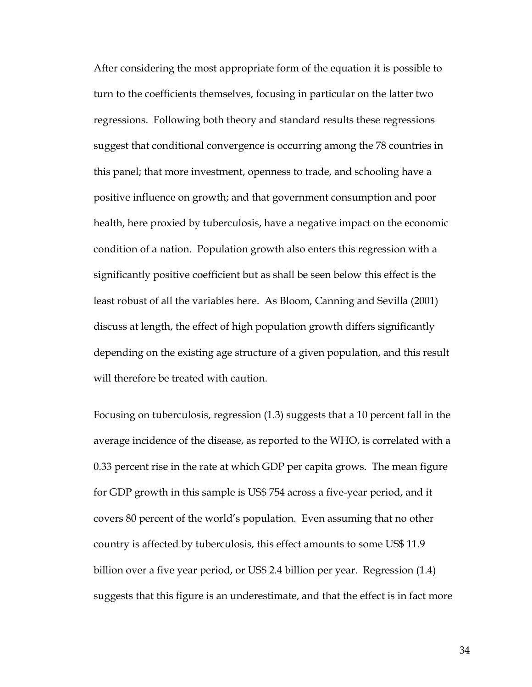After considering the most appropriate form of the equation it is possible to turn to the coefficients themselves, focusing in particular on the latter two regressions. Following both theory and standard results these regressions suggest that conditional convergence is occurring among the 78 countries in this panel; that more investment, openness to trade, and schooling have a positive influence on growth; and that government consumption and poor health, here proxied by tuberculosis, have a negative impact on the economic condition of a nation. Population growth also enters this regression with a significantly positive coefficient but as shall be seen below this effect is the least robust of all the variables here. As Bloom, Canning and Sevilla (2001) discuss at length, the effect of high population growth differs significantly depending on the existing age structure of a given population, and this result will therefore be treated with caution.

Focusing on tuberculosis, regression (1.3) suggests that a 10 percent fall in the average incidence of the disease, as reported to the WHO, is correlated with a 0.33 percent rise in the rate at which GDP per capita grows. The mean figure for GDP growth in this sample is US\$ 754 across a five-year period, and it covers 80 percent of the world's population. Even assuming that no other country is affected by tuberculosis, this effect amounts to some US\$ 11.9 billion over a five year period, or US\$ 2.4 billion per year. Regression (1.4) suggests that this figure is an underestimate, and that the effect is in fact more

34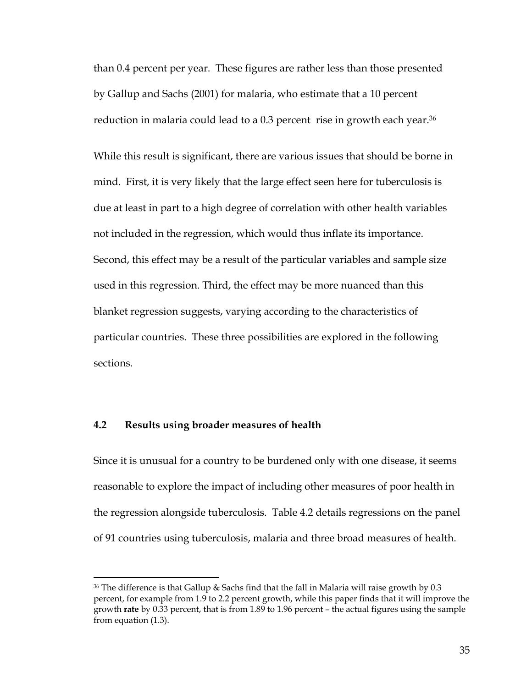than 0.4 percent per year. These figures are rather less than those presented by Gallup and Sachs (2001) for malaria, who estimate that a 10 percent reduction in malaria could lead to a 0.3 percent rise in growth each year.<sup>36</sup>

While this result is significant, there are various issues that should be borne in mind. First, it is very likely that the large effect seen here for tuberculosis is due at least in part to a high degree of correlation with other health variables not included in the regression, which would thus inflate its importance. Second, this effect may be a result of the particular variables and sample size used in this regression. Third, the effect may be more nuanced than this blanket regression suggests, varying according to the characteristics of particular countries. These three possibilities are explored in the following sections.

### **4.2 Results using broader measures of health**

 $\overline{a}$ 

Since it is unusual for a country to be burdened only with one disease, it seems reasonable to explore the impact of including other measures of poor health in the regression alongside tuberculosis. Table 4.2 details regressions on the panel of 91 countries using tuberculosis, malaria and three broad measures of health.

<span id="page-34-0"></span> $36$  The difference is that Gallup & Sachs find that the fall in Malaria will raise growth by 0.3 percent, for example from 1.9 to 2.2 percent growth, while this paper finds that it will improve the growth **rate** by 0.33 percent, that is from 1.89 to 1.96 percent – the actual figures using the sample from equation (1.3).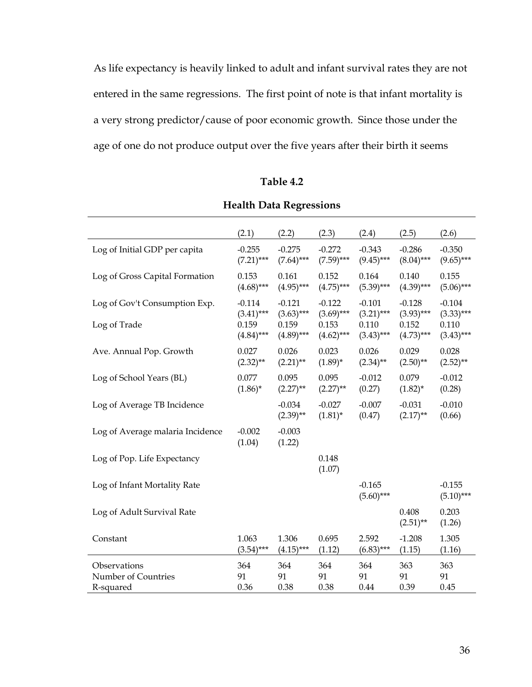As life expectancy is heavily linked to adult and infant survival rates they are not entered in the same regressions. The first point of note is that infant mortality is a very strong predictor/cause of poor economic growth. Since those under the age of one do not produce output over the five years after their birth it seems

### **Table 4.2**

|                                  | (2.1)              | (2.2)                   | (2.3)                  | (2.4)                    | (2.5)                   | (2.6)                    |
|----------------------------------|--------------------|-------------------------|------------------------|--------------------------|-------------------------|--------------------------|
| Log of Initial GDP per capita    | $-0.255$           | $-0.275$                | $-0.272$               | $-0.343$                 | $-0.286$                | $-0.350$                 |
|                                  | $(7.21)$ ***       | $(7.64)$ ***            | $(7.59)$ ***           | $(9.45)$ ***             | $(8.04)$ ***            | $(9.65)$ ***             |
| Log of Gross Capital Formation   | 0.153              | 0.161                   | 0.152                  | 0.164                    | 0.140                   | 0.155                    |
|                                  | $(4.68)***$        | $(4.95)$ ***            | $(4.75)$ ***           | $(5.39)$ ***             | $(4.39)$ ***            | $(5.06)$ ***             |
| Log of Gov't Consumption Exp.    | $-0.114$           | $-0.121$                | $-0.122$               | $-0.101$                 | $-0.128$                | $-0.104$                 |
|                                  | $(3.41)$ ***       | $(3.63)$ ***            | $(3.69)$ ***           | $(3.21)$ ***             | $(3.93)$ ***            | $(3.33)***$              |
| Log of Trade                     | 0.159              | 0.159                   | 0.153                  | 0.110                    | 0.152                   | 0.110                    |
|                                  | $(4.84)***$        | $(4.89)$ ***            | $(4.62)$ ***           | $(3.43)$ ***             | $(4.73)$ ***            | $(3.43)$ ***             |
| Ave. Annual Pop. Growth          | 0.027              | 0.026                   | 0.023                  | 0.026                    | 0.029                   | 0.028                    |
|                                  | $(2.32)$ **        | $(2.21)$ **             | $(1.89)^*$             | $(2.34)$ **              | $(2.50)$ **             | $(2.52)$ **              |
| Log of School Years (BL)         | 0.077              | 0.095                   | 0.095                  | $-0.012$                 | 0.079                   | $-0.012$                 |
|                                  | $(1.86)^*$         | $(2.27)$ **             | $(2.27)$ **            | (0.27)                   | $(1.82)^{*}$            | (0.28)                   |
| Log of Average TB Incidence      |                    | $-0.034$<br>$(2.39)$ ** | $-0.027$<br>$(1.81)^*$ | $-0.007$<br>(0.47)       | $-0.031$<br>$(2.17)$ ** | $-0.010$<br>(0.66)       |
| Log of Average malaria Incidence | $-0.002$<br>(1.04) | $-0.003$<br>(1.22)      |                        |                          |                         |                          |
| Log of Pop. Life Expectancy      |                    |                         | 0.148<br>(1.07)        |                          |                         |                          |
| Log of Infant Mortality Rate     |                    |                         |                        | $-0.165$<br>$(5.60)$ *** |                         | $-0.155$<br>$(5.10)$ *** |
| Log of Adult Survival Rate       |                    |                         |                        |                          | 0.408<br>$(2.51)$ **    | 0.203<br>(1.26)          |
| Constant                         | 1.063              | 1.306                   | 0.695                  | 2.592                    | $-1.208$                | 1.305                    |
|                                  | $(3.54)***$        | $(4.15)***$             | (1.12)                 | $(6.83)$ ***             | (1.15)                  | (1.16)                   |
| Observations                     | 364                | 364                     | 364                    | 364                      | 363                     | 363                      |
| Number of Countries              | 91                 | 91                      | 91                     | 91                       | 91                      | 91                       |
| R-squared                        | 0.36               | 0.38                    | 0.38                   | 0.44                     | 0.39                    | 0.45                     |

## **Health Data Regressions**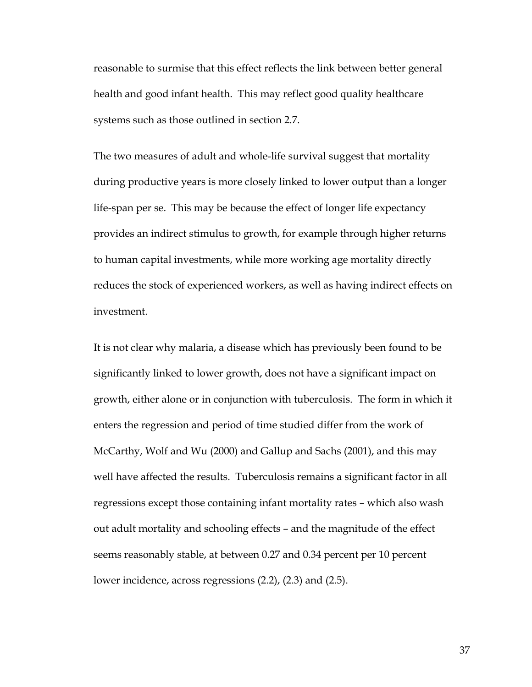reasonable to surmise that this effect reflects the link between better general health and good infant health. This may reflect good quality healthcare systems such as those outlined in section 2.7.

The two measures of adult and whole-life survival suggest that mortality during productive years is more closely linked to lower output than a longer life-span per se. This may be because the effect of longer life expectancy provides an indirect stimulus to growth, for example through higher returns to human capital investments, while more working age mortality directly reduces the stock of experienced workers, as well as having indirect effects on investment.

It is not clear why malaria, a disease which has previously been found to be significantly linked to lower growth, does not have a significant impact on growth, either alone or in conjunction with tuberculosis. The form in which it enters the regression and period of time studied differ from the work of McCarthy, Wolf and Wu (2000) and Gallup and Sachs (2001), and this may well have affected the results. Tuberculosis remains a significant factor in all regressions except those containing infant mortality rates – which also wash out adult mortality and schooling effects – and the magnitude of the effect seems reasonably stable, at between 0.27 and 0.34 percent per 10 percent lower incidence, across regressions (2.2), (2.3) and (2.5).

37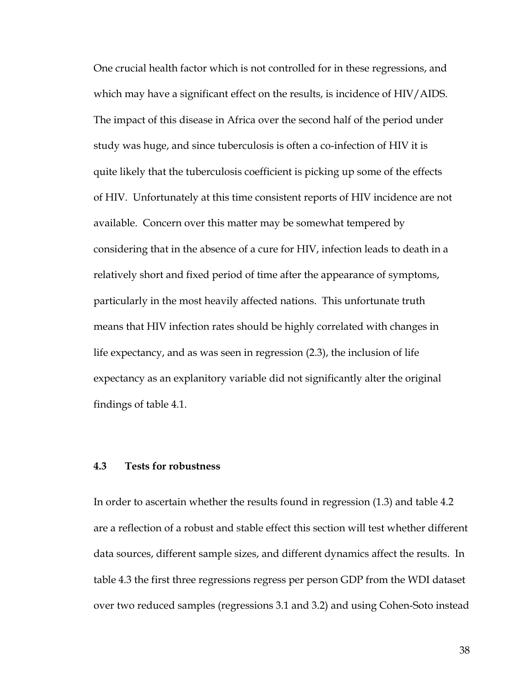One crucial health factor which is not controlled for in these regressions, and which may have a significant effect on the results, is incidence of HIV/AIDS. The impact of this disease in Africa over the second half of the period under study was huge, and since tuberculosis is often a co-infection of HIV it is quite likely that the tuberculosis coefficient is picking up some of the effects of HIV. Unfortunately at this time consistent reports of HIV incidence are not available. Concern over this matter may be somewhat tempered by considering that in the absence of a cure for HIV, infection leads to death in a relatively short and fixed period of time after the appearance of symptoms, particularly in the most heavily affected nations. This unfortunate truth means that HIV infection rates should be highly correlated with changes in life expectancy, and as was seen in regression (2.3), the inclusion of life expectancy as an explanitory variable did not significantly alter the original findings of table 4.1.

### **4.3 Tests for robustness**

In order to ascertain whether the results found in regression (1.3) and table 4.2 are a reflection of a robust and stable effect this section will test whether different data sources, different sample sizes, and different dynamics affect the results. In table 4.3 the first three regressions regress per person GDP from the WDI dataset over two reduced samples (regressions 3.1 and 3.2) and using Cohen-Soto instead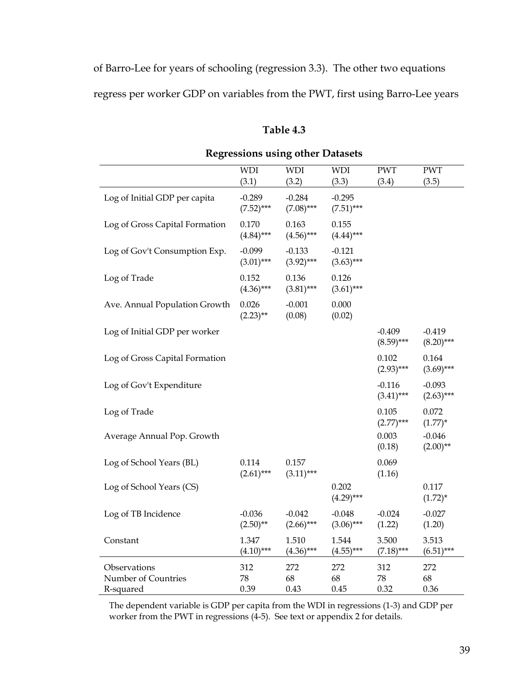of Barro-Lee for years of schooling (regression 3.3). The other two equations regress per worker GDP on variables from the PWT, first using Barro-Lee years

### **Table 4.3**

|                                                  | <b>WDI</b>               | <b>WDI</b>               | <b>WDI</b>               | <b>PWT</b>               | <b>PWT</b>               |
|--------------------------------------------------|--------------------------|--------------------------|--------------------------|--------------------------|--------------------------|
|                                                  | (3.1)                    | (3.2)                    | (3.3)                    | (3.4)                    | (3.5)                    |
| Log of Initial GDP per capita                    | $-0.289$<br>$(7.52)$ *** | $-0.284$<br>$(7.08)$ *** | $-0.295$<br>$(7.51)$ *** |                          |                          |
| Log of Gross Capital Formation                   | 0.170<br>$(4.84)***$     | 0.163<br>$(4.56)$ ***    | 0.155<br>$(4.44)***$     |                          |                          |
| Log of Gov't Consumption Exp.                    | $-0.099$<br>$(3.01)$ *** | $-0.133$<br>$(3.92)$ *** | $-0.121$<br>$(3.63)$ *** |                          |                          |
| Log of Trade                                     | 0.152<br>$(4.36)$ ***    | 0.136<br>$(3.81)***$     | 0.126<br>$(3.61)$ ***    |                          |                          |
| Ave. Annual Population Growth                    | 0.026<br>$(2.23)$ **     | $-0.001$<br>(0.08)       | 0.000<br>(0.02)          |                          |                          |
| Log of Initial GDP per worker                    |                          |                          |                          | $-0.409$<br>$(8.59)$ *** | $-0.419$<br>$(8.20)$ *** |
| Log of Gross Capital Formation                   |                          |                          |                          | 0.102<br>$(2.93)$ ***    | 0.164<br>$(3.69)$ ***    |
| Log of Gov't Expenditure                         |                          |                          |                          | $-0.116$<br>$(3.41)$ *** | $-0.093$<br>$(2.63)$ *** |
| Log of Trade                                     |                          |                          |                          | 0.105<br>$(2.77)$ ***    | 0.072<br>$(1.77)^*$      |
| Average Annual Pop. Growth                       |                          |                          |                          | 0.003<br>(0.18)          | $-0.046$<br>$(2.00)$ **  |
| Log of School Years (BL)                         | 0.114<br>$(2.61)$ ***    | 0.157<br>$(3.11)$ ***    |                          | 0.069<br>(1.16)          |                          |
| Log of School Years (CS)                         |                          |                          | 0.202<br>$(4.29)$ ***    |                          | 0.117<br>$(1.72)^{*}$    |
| Log of TB Incidence                              | $-0.036$<br>$(2.50)$ **  | $-0.042$<br>$(2.66)$ *** | $-0.048$<br>$(3.06)$ *** | $-0.024$<br>(1.22)       | $-0.027$<br>(1.20)       |
| Constant                                         | 1.347<br>$(4.10)$ ***    | 1.510<br>$(4.36)$ ***    | 1.544<br>$(4.55)$ ***    | 3.500<br>$(7.18)***$     | 3.513<br>$(6.51)$ ***    |
| Observations<br>Number of Countries<br>R-squared | 312<br>78<br>0.39        | 272<br>68<br>0.43        | 272<br>68<br>0.45        | 312<br>78<br>0.32        | 272<br>68<br>0.36        |

## **Regressions using other Datasets**

The dependent variable is GDP per capita from the WDI in regressions (1-3) and GDP per worker from the PWT in regressions (4-5). See text or appendix 2 for details.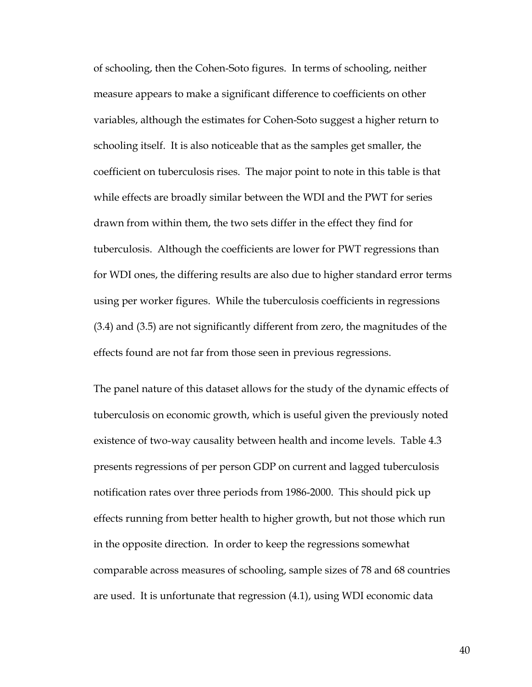of schooling, then the Cohen-Soto figures. In terms of schooling, neither measure appears to make a significant difference to coefficients on other variables, although the estimates for Cohen-Soto suggest a higher return to schooling itself. It is also noticeable that as the samples get smaller, the coefficient on tuberculosis rises. The major point to note in this table is that while effects are broadly similar between the WDI and the PWT for series drawn from within them, the two sets differ in the effect they find for tuberculosis. Although the coefficients are lower for PWT regressions than for WDI ones, the differing results are also due to higher standard error terms using per worker figures. While the tuberculosis coefficients in regressions (3.4) and (3.5) are not significantly different from zero, the magnitudes of the effects found are not far from those seen in previous regressions.

The panel nature of this dataset allows for the study of the dynamic effects of tuberculosis on economic growth, which is useful given the previously noted existence of two-way causality between health and income levels. Table 4.3 presents regressions of per person GDP on current and lagged tuberculosis notification rates over three periods from 1986-2000. This should pick up effects running from better health to higher growth, but not those which run in the opposite direction. In order to keep the regressions somewhat comparable across measures of schooling, sample sizes of 78 and 68 countries are used. It is unfortunate that regression (4.1), using WDI economic data

40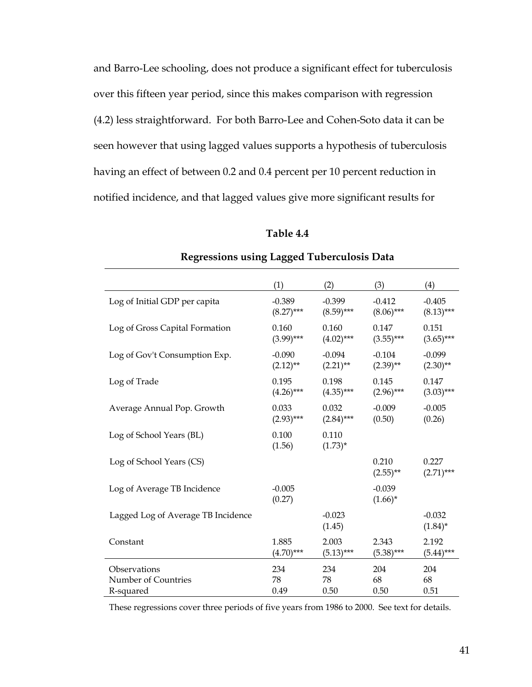and Barro-Lee schooling, does not produce a significant effect for tuberculosis over this fifteen year period, since this makes comparison with regression (4.2) less straightforward. For both Barro-Lee and Cohen-Soto data it can be seen however that using lagged values supports a hypothesis of tuberculosis having an effect of between 0.2 and 0.4 percent per 10 percent reduction in notified incidence, and that lagged values give more significant results for

### **Table 4.4**

|                                    | (1)                | (2)                 | (3)                    | (4)                    |
|------------------------------------|--------------------|---------------------|------------------------|------------------------|
| Log of Initial GDP per capita      | $-0.389$           | $-0.399$            | $-0.412$               | $-0.405$               |
|                                    | $(8.27)$ ***       | $(8.59)$ ***        | $(8.06)$ ***           | $(8.13)$ ***           |
| Log of Gross Capital Formation     | 0.160              | 0.160               | 0.147                  | 0.151                  |
|                                    | $(3.99)$ ***       | $(4.02)$ ***        | $(3.55)$ ***           | $(3.65)$ ***           |
| Log of Gov't Consumption Exp.      | $-0.090$           | $-0.094$            | $-0.104$               | $-0.099$               |
|                                    | $(2.12)$ **        | $(2.21)$ **         | $(2.39)$ **            | $(2.30)$ **            |
| Log of Trade                       | 0.195              | 0.198               | 0.145                  | 0.147                  |
|                                    | $(4.26)$ ***       | $(4.35)$ ***        | $(2.96)$ ***           | $(3.03)$ ***           |
| Average Annual Pop. Growth         | 0.033              | 0.032               | $-0.009$               | $-0.005$               |
|                                    | $(2.93)$ ***       | $(2.84)***$         | (0.50)                 | (0.26)                 |
| Log of School Years (BL)           | 0.100<br>(1.56)    | 0.110<br>$(1.73)^*$ |                        |                        |
| Log of School Years (CS)           |                    |                     | 0.210<br>$(2.55)$ **   | 0.227<br>$(2.71)$ ***  |
| Log of Average TB Incidence        | $-0.005$<br>(0.27) |                     | $-0.039$<br>$(1.66)^*$ |                        |
| Lagged Log of Average TB Incidence |                    | $-0.023$<br>(1.45)  |                        | $-0.032$<br>$(1.84)^*$ |
| Constant                           | 1.885              | 2.003               | 2.343                  | 2.192                  |
|                                    | $(4.70)$ ***       | $(5.13)***$         | $(5.38)***$            | $(5.44)***$            |
| Observations                       | 234                | 234                 | 204                    | 204                    |
| Number of Countries                | 78                 | 78                  | 68                     | 68                     |
| R-squared                          | 0.49               | 0.50                | 0.50                   | 0.51                   |

#### **Regressions using Lagged Tuberculosis Data**

These regressions cover three periods of five years from 1986 to 2000. See text for details.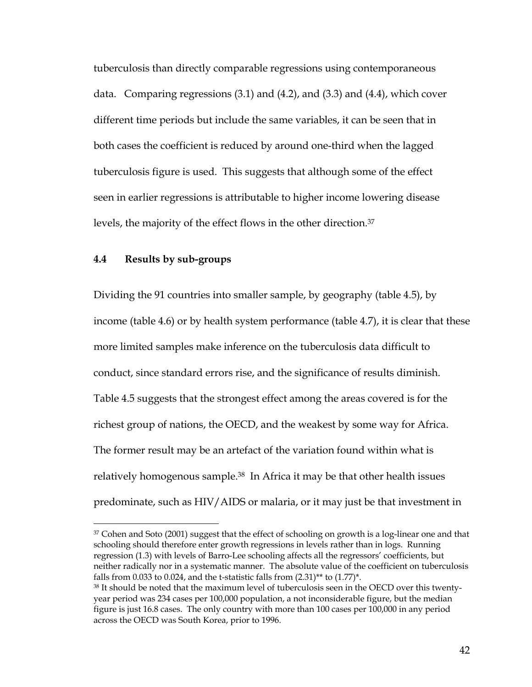tuberculosis than directly comparable regressions using contemporaneous data. Comparing regressions (3.1) and (4.2), and (3.3) and (4.4), which cover different time periods but include the same variables, it can be seen that in both cases the coefficient is reduced by around one-third when the lagged tuberculosis figure is used. This suggests that although some of the effect seen in earlier regressions is attributable to higher income lowering disease levels, the majority of the effect flows in the other direction.[37](#page-41-0)

### **4.4 Results by sub-groups**

 $\overline{a}$ 

Dividing the 91 countries into smaller sample, by geography (table 4.5), by income (table 4.6) or by health system performance (table 4.7), it is clear that these more limited samples make inference on the tuberculosis data difficult to conduct, since standard errors rise, and the significance of results diminish. Table 4.5 suggests that the strongest effect among the areas covered is for the richest group of nations, the OECD, and the weakest by some way for Africa. The former result may be an artefact of the variation found within what is relatively homogenous sample.<sup>38</sup> In Africa it may be that other health issues predominate, such as HIV/AIDS or malaria, or it may just be that investment in

<span id="page-41-0"></span><sup>37</sup> Cohen and Soto (2001) suggest that the effect of schooling on growth is a log-linear one and that schooling should therefore enter growth regressions in levels rather than in logs. Running regression (1.3) with levels of Barro-Lee schooling affects all the regressors' coefficients, but neither radically nor in a systematic manner. The absolute value of the coefficient on tuberculosis falls from 0.033 to 0.024, and the t-statistic falls from  $(2.31)$ <sup>\*\*</sup> to  $(1.77)$ <sup>\*</sup>.

<span id="page-41-1"></span><sup>38</sup> It should be noted that the maximum level of tuberculosis seen in the OECD over this twentyyear period was 234 cases per 100,000 population, a not inconsiderable figure, but the median figure is just 16.8 cases. The only country with more than 100 cases per 100,000 in any period across the OECD was South Korea, prior to 1996.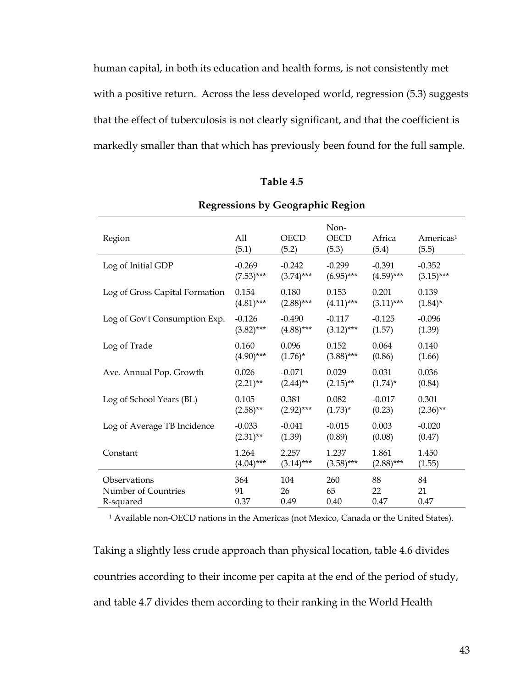human capital, in both its education and health forms, is not consistently met with a positive return. Across the less developed world, regression (5.3) suggests that the effect of tuberculosis is not clearly significant, and that the coefficient is markedly smaller than that which has previously been found for the full sample.

| Table 4.5 |
|-----------|
|-----------|

| Region                         | All<br>(5.1) | <b>OECD</b><br>(5.2) | Non-<br><b>OECD</b><br>(5.3) | Africa<br>(5.4) | Americas <sup>1</sup><br>(5.5) |
|--------------------------------|--------------|----------------------|------------------------------|-----------------|--------------------------------|
| Log of Initial GDP             | $-0.269$     | $-0.242$             | $-0.299$                     | $-0.391$        | $-0.352$                       |
|                                | $(7.53)$ *** | $(3.74)***$          | $(6.95***$                   | $(4.59)$ ***    | $(3.15)$ ***                   |
| Log of Gross Capital Formation | 0.154        | 0.180                | 0.153                        | 0.201           | 0.139                          |
|                                | $(4.81)***$  | $(2.88)***$          | $(4.11)***$                  | $(3.11)$ ***    | $(1.84)^*$                     |
| Log of Gov't Consumption Exp.  | $-0.126$     | $-0.490$             | $-0.117$                     | $-0.125$        | $-0.096$                       |
|                                | $(3.82)$ *** | $(4.88)$ ***         | $(3.12)$ ***                 | (1.57)          | (1.39)                         |
| Log of Trade                   | 0.160        | 0.096                | 0.152                        | 0.064           | 0.140                          |
|                                | $(4.90)$ *** | $(1.76)^*$           | $(3.88)$ ***                 | (0.86)          | (1.66)                         |
| Ave. Annual Pop. Growth        | 0.026        | $-0.071$             | 0.029                        | 0.031           | 0.036                          |
|                                | $(2.21)$ **  | $(2.44)$ **          | $(2.15)$ **                  | $(1.74)^*$      | (0.84)                         |
| Log of School Years (BL)       | 0.105        | 0.381                | 0.082                        | $-0.017$        | 0.301                          |
|                                | $(2.58)$ **  | $(2.92)$ ***         | $(1.73)^*$                   | (0.23)          | $(2.36)$ **                    |
| Log of Average TB Incidence    | $-0.033$     | $-0.041$             | $-0.015$                     | 0.003           | $-0.020$                       |
|                                | $(2.31)$ **  | (1.39)               | (0.89)                       | (0.08)          | (0.47)                         |
| Constant                       | 1.264        | 2.257                | 1.237                        | 1.861           | 1.450                          |
|                                | $(4.04)$ *** | $(3.14)***$          | $(3.58)$ ***                 | $(2.88)$ ***    | (1.55)                         |
| Observations                   | 364          | 104                  | 260                          | 88              | 84                             |
| Number of Countries            | 91           | 26                   | 65                           | 22              | 21                             |
| R-squared                      | 0.37         | 0.49                 | 0.40                         | 0.47            | 0.47                           |

### **Regressions by Geographic Region**

1 Available non-OECD nations in the Americas (not Mexico, Canada or the United States).

Taking a slightly less crude approach than physical location, table 4.6 divides countries according to their income per capita at the end of the period of study, and table 4.7 divides them according to their ranking in the World Health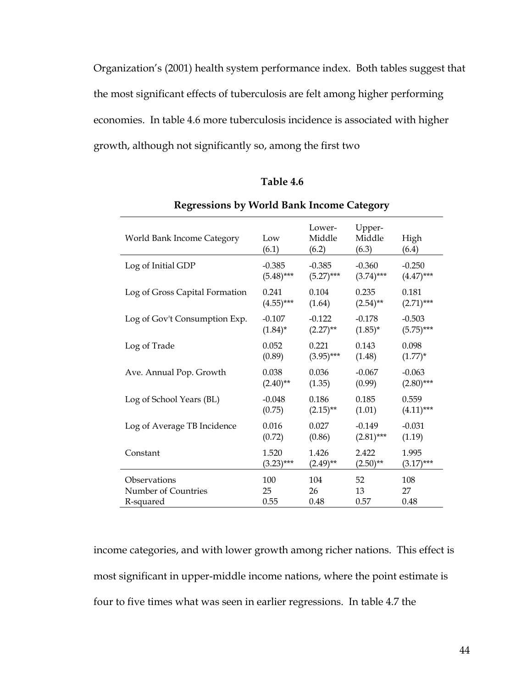Organization's (2001) health system performance index. Both tables suggest that the most significant effects of tuberculosis are felt among higher performing economies. In table 4.6 more tuberculosis incidence is associated with higher growth, although not significantly so, among the first two

### **Table 4.6**

| World Bank Income Category     | Low<br>(6.1) | Lower-<br>Middle<br>(6.2) | Upper-<br>Middle<br>(6.3) | High<br>(6.4) |
|--------------------------------|--------------|---------------------------|---------------------------|---------------|
| Log of Initial GDP             | $-0.385$     | $-0.385$                  | $-0.360$                  | $-0.250$      |
|                                | $(5.48)$ *** | $(5.27)$ ***              | $(3.74)$ ***              | $(4.47)$ ***  |
| Log of Gross Capital Formation | 0.241        | 0.104                     | 0.235                     | 0.181         |
|                                | $(4.55)$ *** | (1.64)                    | $(2.54)$ **               | $(2.71)$ ***  |
| Log of Gov't Consumption Exp.  | $-0.107$     | $-0.122$                  | $-0.178$                  | $-0.503$      |
|                                | $(1.84)^*$   | $(2.27)$ **               | $(1.85)^*$                | $(5.75)$ ***  |
| Log of Trade                   | 0.052        | 0.221                     | 0.143                     | 0.098         |
|                                | (0.89)       | $(3.95)$ ***              | (1.48)                    | $(1.77)^*$    |
| Ave. Annual Pop. Growth        | 0.038        | 0.036                     | $-0.067$                  | $-0.063$      |
|                                | $(2.40)$ **  | (1.35)                    | (0.99)                    | $(2.80)$ ***  |
| Log of School Years (BL)       | $-0.048$     | 0.186                     | 0.185                     | 0.559         |
|                                | (0.75)       | $(2.15)$ **               | (1.01)                    | $(4.11)***$   |
| Log of Average TB Incidence    | 0.016        | 0.027                     | $-0.149$                  | $-0.031$      |
|                                | (0.72)       | (0.86)                    | $(2.81)$ ***              | (1.19)        |
| Constant                       | 1.520        | 1.426                     | 2.422                     | 1.995         |
|                                | $(3.23)$ *** | $(2.49)$ **               | $(2.50)$ **               | $(3.17)$ ***  |
| Observations                   | 100          | 104                       | 52                        | 108           |
| Number of Countries            | 25           | 26                        | 13                        | 27            |
| R-squared                      | 0.55         | 0.48                      | 0.57                      | 0.48          |

### **Regressions by World Bank Income Category**

income categories, and with lower growth among richer nations. This effect is most significant in upper-middle income nations, where the point estimate is four to five times what was seen in earlier regressions. In table 4.7 the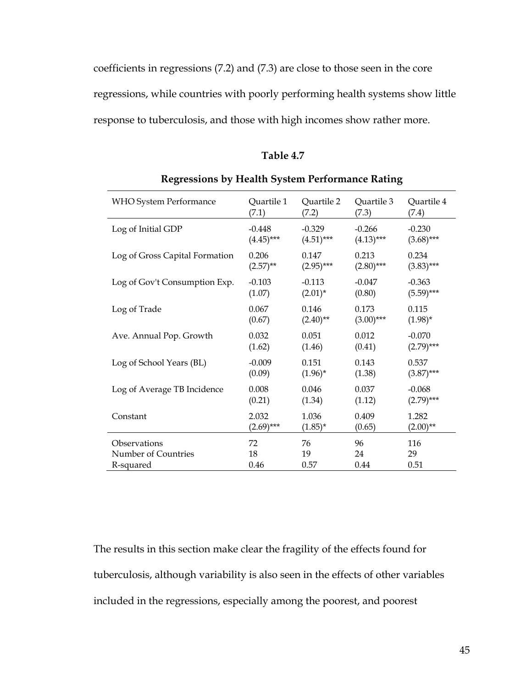coefficients in regressions (7.2) and (7.3) are close to those seen in the core regressions, while countries with poorly performing health systems show little response to tuberculosis, and those with high incomes show rather more.

| Table 4.7 |  |
|-----------|--|
|-----------|--|

| <b>WHO System Performance</b>  | Quartile 1   | Quartile 2   | Quartile 3   | Quartile 4   |
|--------------------------------|--------------|--------------|--------------|--------------|
|                                | (7.1)        | (7.2)        | (7.3)        | (7.4)        |
| Log of Initial GDP             | $-0.448$     | $-0.329$     | $-0.266$     | $-0.230$     |
|                                | $(4.45)$ *** | $(4.51)$ *** | $(4.13)$ *** | $(3.68)$ *** |
| Log of Gross Capital Formation | 0.206        | 0.147        | 0.213        | 0.234        |
|                                | $(2.57)$ **  | $(2.95)$ *** | $(2.80)$ *** | $(3.83)$ *** |
| Log of Gov't Consumption Exp.  | $-0.103$     | $-0.113$     | $-0.047$     | $-0.363$     |
|                                | (1.07)       | $(2.01)^*$   | (0.80)       | $(5.59)$ *** |
| Log of Trade                   | 0.067        | 0.146        | 0.173        | 0.115        |
|                                | (0.67)       | $(2.40)$ **  | $(3.00)$ *** | $(1.98)^*$   |
| Ave. Annual Pop. Growth        | 0.032        | 0.051        | 0.012        | $-0.070$     |
|                                | (1.62)       | (1.46)       | (0.41)       | $(2.79)$ *** |
| Log of School Years (BL)       | $-0.009$     | 0.151        | 0.143        | 0.537        |
|                                | (0.09)       | $(1.96)^*$   | (1.38)       | $(3.87)$ *** |
| Log of Average TB Incidence    | 0.008        | 0.046        | 0.037        | $-0.068$     |
|                                | (0.21)       | (1.34)       | (1.12)       | $(2.79)$ *** |
| Constant                       | 2.032        | 1.036        | 0.409        | 1.282        |
|                                | $(2.69)$ *** | $(1.85)^{*}$ | (0.65)       | $(2.00)$ **  |
| Observations                   | 72           | 76           | 96           | 116          |
| Number of Countries            | 18           | 19           | 24           | 29           |
| R-squared                      | 0.46         | 0.57         | 0.44         | 0.51         |

**Regressions by Health System Performance Rating** 

The results in this section make clear the fragility of the effects found for tuberculosis, although variability is also seen in the effects of other variables included in the regressions, especially among the poorest, and poorest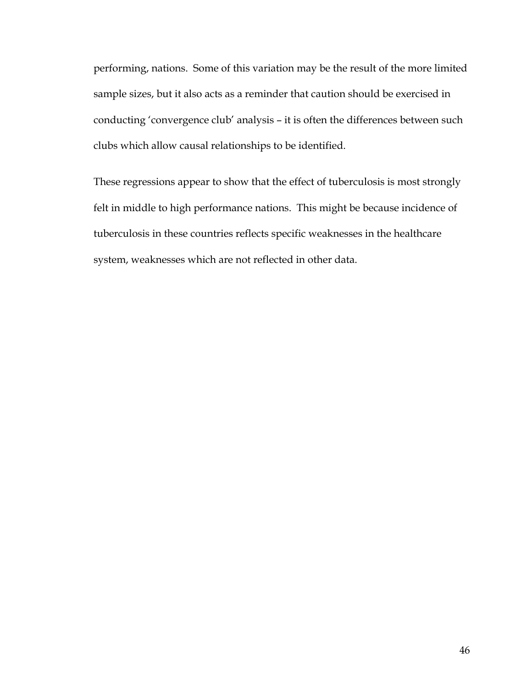performing, nations. Some of this variation may be the result of the more limited sample sizes, but it also acts as a reminder that caution should be exercised in conducting 'convergence club' analysis – it is often the differences between such clubs which allow causal relationships to be identified.

These regressions appear to show that the effect of tuberculosis is most strongly felt in middle to high performance nations. This might be because incidence of tuberculosis in these countries reflects specific weaknesses in the healthcare system, weaknesses which are not reflected in other data.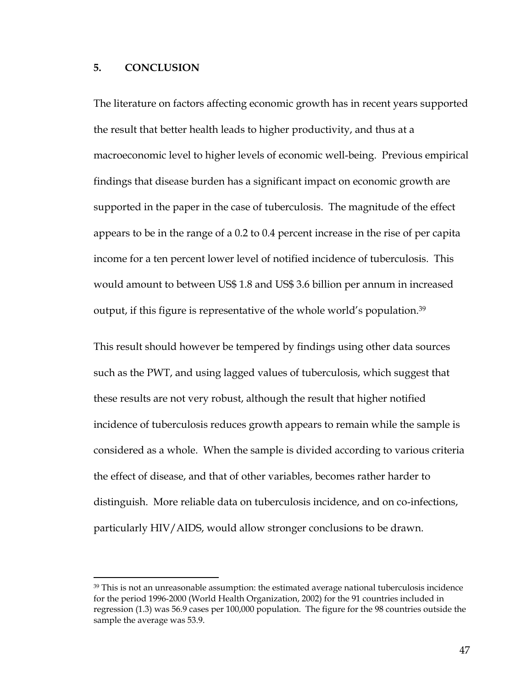### **5. CONCLUSION**

 $\overline{a}$ 

The literature on factors affecting economic growth has in recent years supported the result that better health leads to higher productivity, and thus at a macroeconomic level to higher levels of economic well-being. Previous empirical findings that disease burden has a significant impact on economic growth are supported in the paper in the case of tuberculosis. The magnitude of the effect appears to be in the range of a 0.2 to 0.4 percent increase in the rise of per capita income for a ten percent lower level of notified incidence of tuberculosis. This would amount to between US\$ 1.8 and US\$ 3.6 billion per annum in increased output, if this figure is representative of the whole world's population.[39](#page-46-0) 

This result should however be tempered by findings using other data sources such as the PWT, and using lagged values of tuberculosis, which suggest that these results are not very robust, although the result that higher notified incidence of tuberculosis reduces growth appears to remain while the sample is considered as a whole. When the sample is divided according to various criteria the effect of disease, and that of other variables, becomes rather harder to distinguish. More reliable data on tuberculosis incidence, and on co-infections, particularly HIV/AIDS, would allow stronger conclusions to be drawn.

<span id="page-46-0"></span> $39$  This is not an unreasonable assumption: the estimated average national tuberculosis incidence for the period 1996-2000 (World Health Organization, 2002) for the 91 countries included in regression (1.3) was 56.9 cases per 100,000 population. The figure for the 98 countries outside the sample the average was 53.9.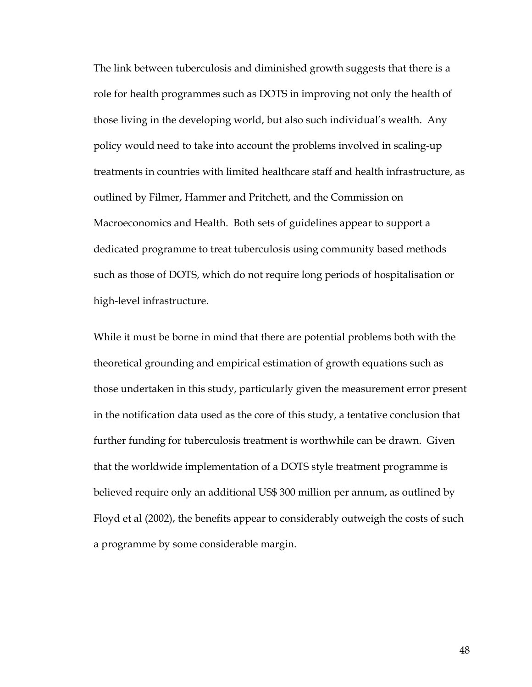The link between tuberculosis and diminished growth suggests that there is a role for health programmes such as DOTS in improving not only the health of those living in the developing world, but also such individual's wealth. Any policy would need to take into account the problems involved in scaling-up treatments in countries with limited healthcare staff and health infrastructure, as outlined by Filmer, Hammer and Pritchett, and the Commission on Macroeconomics and Health. Both sets of guidelines appear to support a dedicated programme to treat tuberculosis using community based methods such as those of DOTS, which do not require long periods of hospitalisation or high-level infrastructure.

While it must be borne in mind that there are potential problems both with the theoretical grounding and empirical estimation of growth equations such as those undertaken in this study, particularly given the measurement error present in the notification data used as the core of this study, a tentative conclusion that further funding for tuberculosis treatment is worthwhile can be drawn. Given that the worldwide implementation of a DOTS style treatment programme is believed require only an additional US\$ 300 million per annum, as outlined by Floyd et al (2002), the benefits appear to considerably outweigh the costs of such a programme by some considerable margin.

48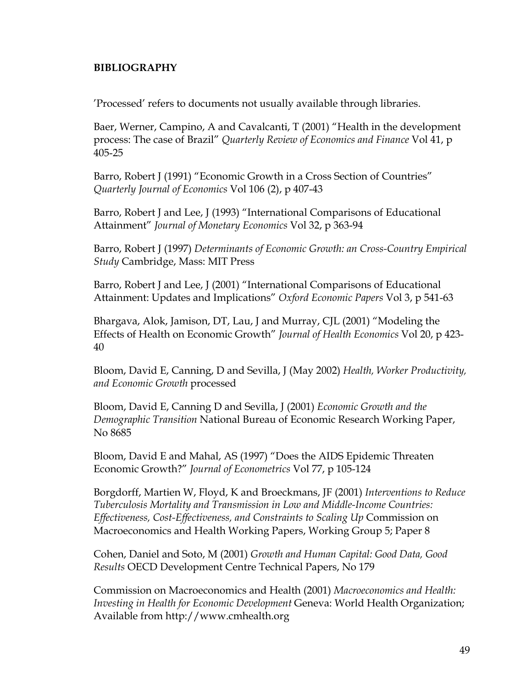### **BIBLIOGRAPHY**

'Processed' refers to documents not usually available through libraries.

Baer, Werner, Campino, A and Cavalcanti, T (2001) "Health in the development process: The case of Brazil" *Quarterly Review of Economics and Finance* Vol 41, p 405-25

Barro, Robert J (1991) "Economic Growth in a Cross Section of Countries" *Quarterly Journal of Economics* Vol 106 (2), p 407-43

Barro, Robert J and Lee, J (1993) "International Comparisons of Educational Attainment" *Journal of Monetary Economics* Vol 32, p 363-94

Barro, Robert J (1997) *Determinants of Economic Growth: an Cross-Country Empirical Study* Cambridge, Mass: MIT Press

Barro, Robert J and Lee, J (2001) "International Comparisons of Educational Attainment: Updates and Implications" *Oxford Economic Papers* Vol 3, p 541-63

Bhargava, Alok, Jamison, DT, Lau, J and Murray, CJL (2001) "Modeling the Effects of Health on Economic Growth" *Journal of Health Economics* Vol 20, p 423- 40

Bloom, David E, Canning, D and Sevilla, J (May 2002) *Health, Worker Productivity, and Economic Growth* processed

Bloom, David E, Canning D and Sevilla, J (2001) *Economic Growth and the Demographic Transition* National Bureau of Economic Research Working Paper, No 8685

Bloom, David E and Mahal, AS (1997) "Does the AIDS Epidemic Threaten Economic Growth?" *Journal of Econometrics* Vol 77, p 105-124

Borgdorff, Martien W, Floyd, K and Broeckmans, JF (2001) *Interventions to Reduce Tuberculosis Mortality and Transmission in Low and Middle-Income Countries: Effectiveness, Cost-Effectiveness, and Constraints to Scaling Up* Commission on Macroeconomics and Health Working Papers, Working Group 5; Paper 8

Cohen, Daniel and Soto, M (2001) *Growth and Human Capital: Good Data, Good Results* OECD Development Centre Technical Papers, No 179

Commission on Macroeconomics and Health (2001) *Macroeconomics and Health: Investing in Health for Economic Development* Geneva: World Health Organization; Available from http://www.cmhealth.org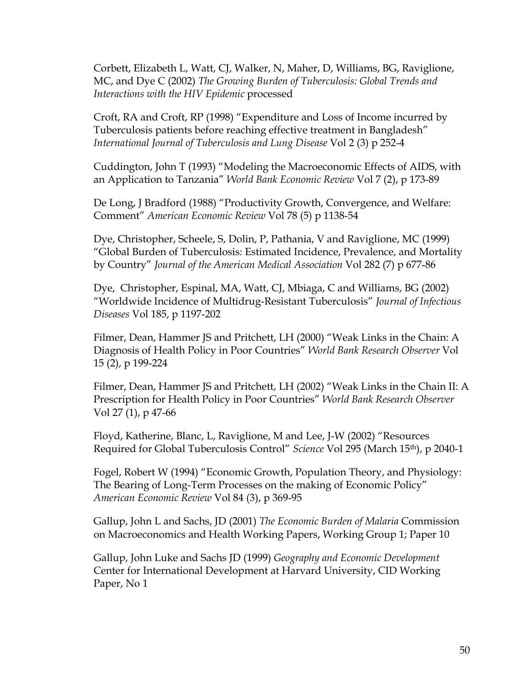Corbett, Elizabeth L, Watt, CJ, Walker, N, Maher, D, Williams, BG, Raviglione, MC, and Dye C (2002) *The Growing Burden of Tuberculosis: Global Trends and Interactions with the HIV Epidemic* processed

Croft, RA and Croft, RP (1998) "Expenditure and Loss of Income incurred by Tuberculosis patients before reaching effective treatment in Bangladesh" *International Journal of Tuberculosis and Lung Disease* Vol 2 (3) p 252-4

Cuddington, John T (1993) "Modeling the Macroeconomic Effects of AIDS, with an Application to Tanzania" *World Bank Economic Review* Vol 7 (2), p 173-89

De Long, J Bradford (1988) "Productivity Growth, Convergence, and Welfare: Comment" *American Economic Review* Vol 78 (5) p 1138-54

Dye, Christopher, Scheele, S, Dolin, P, Pathania, V and Raviglione, MC (1999) "Global Burden of Tuberculosis: Estimated Incidence, Prevalence, and Mortality by Country" *Journal of the American Medical Association* Vol 282 (7) p 677-86

Dye, Christopher, Espinal, MA, Watt, CJ, Mbiaga, C and Williams, BG (2002) "Worldwide Incidence of Multidrug-Resistant Tuberculosis" *Journal of Infectious Diseases* Vol 185, p 1197-202

Filmer, Dean, Hammer JS and Pritchett, LH (2000) "Weak Links in the Chain: A Diagnosis of Health Policy in Poor Countries" *World Bank Research Observer* Vol 15 (2), p 199-224

Filmer, Dean, Hammer JS and Pritchett, LH (2002) "Weak Links in the Chain II: A Prescription for Health Policy in Poor Countries" *World Bank Research Observer* Vol 27 (1), p 47-66

Floyd, Katherine, Blanc, L, Raviglione, M and Lee, J-W (2002) "Resources Required for Global Tuberculosis Control" *Science* Vol 295 (March 15th), p 2040-1

Fogel, Robert W (1994) "Economic Growth, Population Theory, and Physiology: The Bearing of Long-Term Processes on the making of Economic Policy" *American Economic Review* Vol 84 (3), p 369-95

Gallup, John L and Sachs, JD (2001) *The Economic Burden of Malaria* Commission on Macroeconomics and Health Working Papers, Working Group 1; Paper 10

Gallup, John Luke and Sachs JD (1999) *Geography and Economic Development* Center for International Development at Harvard University, CID Working Paper, No 1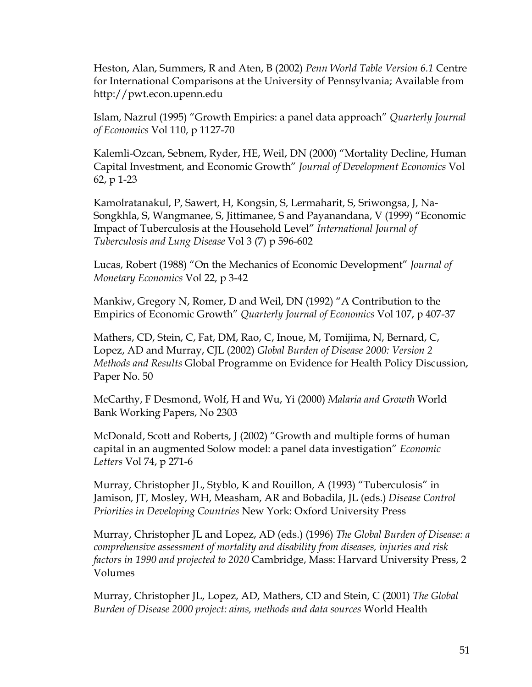Heston, Alan, Summers, R and Aten, B (2002) *Penn World Table Version 6.1* Centre for International Comparisons at the University of Pennsylvania; Available from http://pwt.econ.upenn.edu

Islam, Nazrul (1995) "Growth Empirics: a panel data approach" *Quarterly Journal of Economics* Vol 110, p 1127-70

Kalemli-Ozcan, Sebnem, Ryder, HE, Weil, DN (2000) "Mortality Decline, Human Capital Investment, and Economic Growth" *Journal of Development Economics* Vol 62, p 1-23

Kamolratanakul, P, Sawert, H, Kongsin, S, Lermaharit, S, Sriwongsa, J, Na-Songkhla, S, Wangmanee, S, Jittimanee, S and Payanandana, V (1999) "Economic Impact of Tuberculosis at the Household Level" *International Journal of Tuberculosis and Lung Disease* Vol 3 (7) p 596-602

Lucas, Robert (1988) "On the Mechanics of Economic Development" *Journal of Monetary Economics* Vol 22, p 3-42

Mankiw, Gregory N, Romer, D and Weil, DN (1992) "A Contribution to the Empirics of Economic Growth" *Quarterly Journal of Economics* Vol 107, p 407-37

Mathers, CD, Stein, C, Fat, DM, Rao, C, Inoue, M, Tomijima, N, Bernard, C, Lopez, AD and Murray, CJL (2002) *Global Burden of Disease 2000: Version 2 Methods and Results* Global Programme on Evidence for Health Policy Discussion, Paper No. 50

McCarthy, F Desmond, Wolf, H and Wu, Yi (2000) *Malaria and Growth* World Bank Working Papers, No 2303

McDonald, Scott and Roberts, J (2002) "Growth and multiple forms of human capital in an augmented Solow model: a panel data investigation" *Economic Letters* Vol 74, p 271-6

Murray, Christopher JL, Styblo, K and Rouillon, A (1993) "Tuberculosis" in Jamison, JT, Mosley, WH, Measham, AR and Bobadila, JL (eds.) *Disease Control Priorities in Developing Countries* New York: Oxford University Press

Murray, Christopher JL and Lopez, AD (eds.) (1996) *The Global Burden of Disease: a comprehensive assessment of mortality and disability from diseases, injuries and risk factors in 1990 and projected to 2020* Cambridge, Mass: Harvard University Press, 2 Volumes

Murray, Christopher JL, Lopez, AD, Mathers, CD and Stein, C (2001) *The Global Burden of Disease 2000 project: aims, methods and data sources* World Health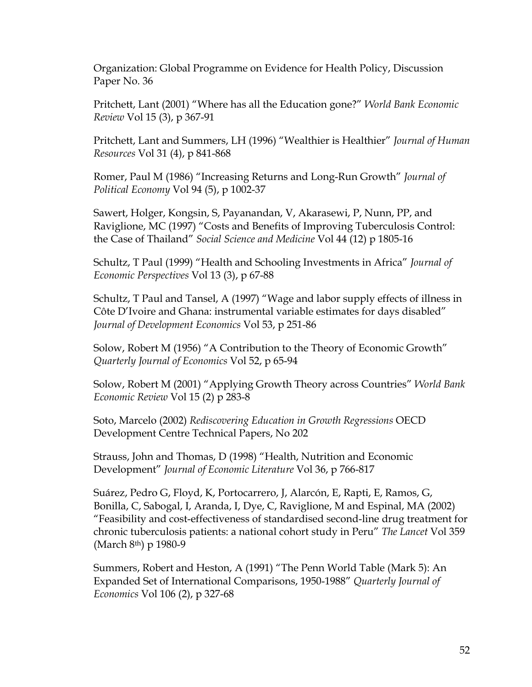Organization: Global Programme on Evidence for Health Policy, Discussion Paper No. 36

Pritchett, Lant (2001) "Where has all the Education gone?" *World Bank Economic Review* Vol 15 (3), p 367-91

Pritchett, Lant and Summers, LH (1996) "Wealthier is Healthier" *Journal of Human Resources* Vol 31 (4), p 841-868

Romer, Paul M (1986) "Increasing Returns and Long-Run Growth" *Journal of Political Economy* Vol 94 (5), p 1002-37

Sawert, Holger, Kongsin, S, Payanandan, V, Akarasewi, P, Nunn, PP, and Raviglione, MC (1997) "Costs and Benefits of Improving Tuberculosis Control: the Case of Thailand" *Social Science and Medicine* Vol 44 (12) p 1805-16

Schultz, T Paul (1999) "Health and Schooling Investments in Africa" *Journal of Economic Perspectives* Vol 13 (3), p 67-88

Schultz, T Paul and Tansel, A (1997) "Wage and labor supply effects of illness in Côte D'Ivoire and Ghana: instrumental variable estimates for days disabled" *Journal of Development Economics* Vol 53, p 251-86

Solow, Robert M (1956) "A Contribution to the Theory of Economic Growth" *Quarterly Journal of Economics* Vol 52, p 65-94

Solow, Robert M (2001) "Applying Growth Theory across Countries" *World Bank Economic Review* Vol 15 (2) p 283-8

Soto, Marcelo (2002) *Rediscovering Education in Growth Regressions* OECD Development Centre Technical Papers, No 202

Strauss, John and Thomas, D (1998) "Health, Nutrition and Economic Development" *Journal of Economic Literature* Vol 36, p 766-817

Suárez, Pedro G, Floyd, K, Portocarrero, J, Alarcón, E, Rapti, E, Ramos, G, Bonilla, C, Sabogal, I, Aranda, I, Dye, C, Raviglione, M and Espinal, MA (2002) "Feasibility and cost-effectiveness of standardised second-line drug treatment for chronic tuberculosis patients: a national cohort study in Peru" *The Lancet* Vol 359 (March 8th) p 1980-9

Summers, Robert and Heston, A (1991) "The Penn World Table (Mark 5): An Expanded Set of International Comparisons, 1950-1988" *Quarterly Journal of Economics* Vol 106 (2), p 327-68